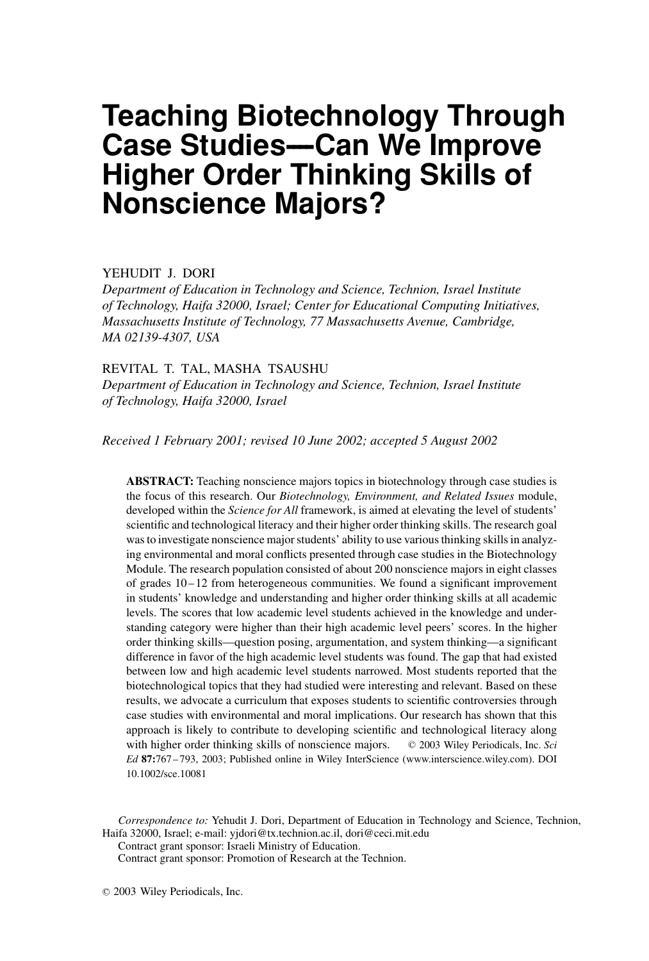# **Teaching Biotechnology Through Case Studies--Can We Improve Higher Order Thinking Skills of Nonscience Majors?**

YEHUDIT J. DORI

*Department of Education in Technology and Science, Technion, Israel Institute of Technology, Haifa 32000, Israel; Center for Educational Computing Initiatives, Massachusetts Institute of Technology, 77 Massachusetts Avenue, Cambridge, MA 02139-4307, USA*

## REVITAL T. TAL, MASHA TSAUSHU

*Department of Education in Technology and Science, Technion, Israel Institute of Technology, Haifa 32000, Israel*

*Received 1 February 2001; revised 10 June 2002; accepted 5 August 2002*

**ABSTRACT:** Teaching nonscience majors topics in biotechnology through case studies is the focus of this research. Our *Biotechnology, Environment, and Related Issues* module, developed within the *Science for All* framework, is aimed at elevating the level of students' scientific and technological literacy and their higher order thinking skills. The research goal was to investigate nonscience major students' ability to use various thinking skills in analyzing environmental and moral conflicts presented through case studies in the Biotechnology Module. The research population consisted of about 200 nonscience majors in eight classes of grades 10–12 from heterogeneous communities. We found a significant improvement in students' knowledge and understanding and higher order thinking skills at all academic levels. The scores that low academic level students achieved in the knowledge and understanding category were higher than their high academic level peers' scores. In the higher order thinking skills—question posing, argumentation, and system thinking—a significant difference in favor of the high academic level students was found. The gap that had existed between low and high academic level students narrowed. Most students reported that the biotechnological topics that they had studied were interesting and relevant. Based on these results, we advocate a curriculum that exposes students to scientific controversies through case studies with environmental and moral implications. Our research has shown that this approach is likely to contribute to developing scientific and technological literacy along with higher order thinking skills of nonscience majors. <sup>C</sup> 2003 Wiley Periodicals, Inc. *Sci Ed* **87:**767– 793, 2003; Published online in Wiley InterScience (www.interscience.wiley.com). DOI 10.1002/sce.10081

*Correspondence to:* Yehudit J. Dori, Department of Education in Technology and Science, Technion, Haifa 32000, Israel; e-mail: yjdori@tx.technion.ac.il, dori@ceci.mit.edu

Contract grant sponsor: Israeli Ministry of Education.

Contract grant sponsor: Promotion of Research at the Technion.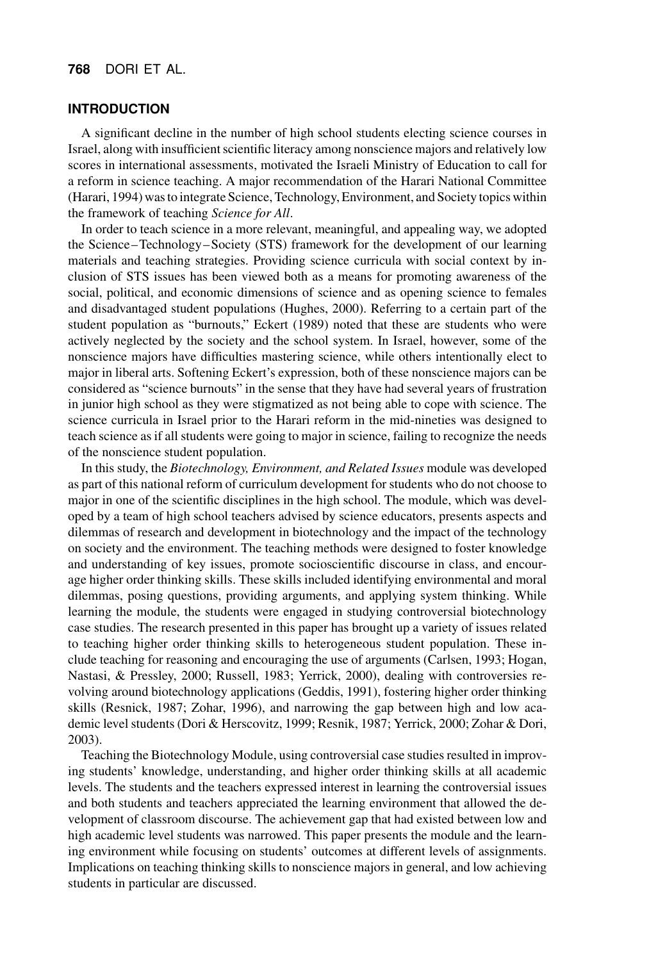#### **INTRODUCTION**

A significant decline in the number of high school students electing science courses in Israel, along with insufficient scientific literacy among nonscience majors and relatively low scores in international assessments, motivated the Israeli Ministry of Education to call for a reform in science teaching. A major recommendation of the Harari National Committee (Harari, 1994) was to integrate Science, Technology, Environment, and Society topics within the framework of teaching *Science for All*.

In order to teach science in a more relevant, meaningful, and appealing way, we adopted the Science–Technology–Society (STS) framework for the development of our learning materials and teaching strategies. Providing science curricula with social context by inclusion of STS issues has been viewed both as a means for promoting awareness of the social, political, and economic dimensions of science and as opening science to females and disadvantaged student populations (Hughes, 2000). Referring to a certain part of the student population as "burnouts," Eckert (1989) noted that these are students who were actively neglected by the society and the school system. In Israel, however, some of the nonscience majors have difficulties mastering science, while others intentionally elect to major in liberal arts. Softening Eckert's expression, both of these nonscience majors can be considered as "science burnouts" in the sense that they have had several years of frustration in junior high school as they were stigmatized as not being able to cope with science. The science curricula in Israel prior to the Harari reform in the mid-nineties was designed to teach science as if all students were going to major in science, failing to recognize the needs of the nonscience student population.

In this study, the *Biotechnology, Environment, and Related Issues* module was developed as part of this national reform of curriculum development for students who do not choose to major in one of the scientific disciplines in the high school. The module, which was developed by a team of high school teachers advised by science educators, presents aspects and dilemmas of research and development in biotechnology and the impact of the technology on society and the environment. The teaching methods were designed to foster knowledge and understanding of key issues, promote socioscientific discourse in class, and encourage higher order thinking skills. These skills included identifying environmental and moral dilemmas, posing questions, providing arguments, and applying system thinking. While learning the module, the students were engaged in studying controversial biotechnology case studies. The research presented in this paper has brought up a variety of issues related to teaching higher order thinking skills to heterogeneous student population. These include teaching for reasoning and encouraging the use of arguments (Carlsen, 1993; Hogan, Nastasi, & Pressley, 2000; Russell, 1983; Yerrick, 2000), dealing with controversies revolving around biotechnology applications (Geddis, 1991), fostering higher order thinking skills (Resnick, 1987; Zohar, 1996), and narrowing the gap between high and low academic level students (Dori & Herscovitz, 1999; Resnik, 1987; Yerrick, 2000; Zohar & Dori, 2003).

Teaching the Biotechnology Module, using controversial case studies resulted in improving students' knowledge, understanding, and higher order thinking skills at all academic levels. The students and the teachers expressed interest in learning the controversial issues and both students and teachers appreciated the learning environment that allowed the development of classroom discourse. The achievement gap that had existed between low and high academic level students was narrowed. This paper presents the module and the learning environment while focusing on students' outcomes at different levels of assignments. Implications on teaching thinking skills to nonscience majors in general, and low achieving students in particular are discussed.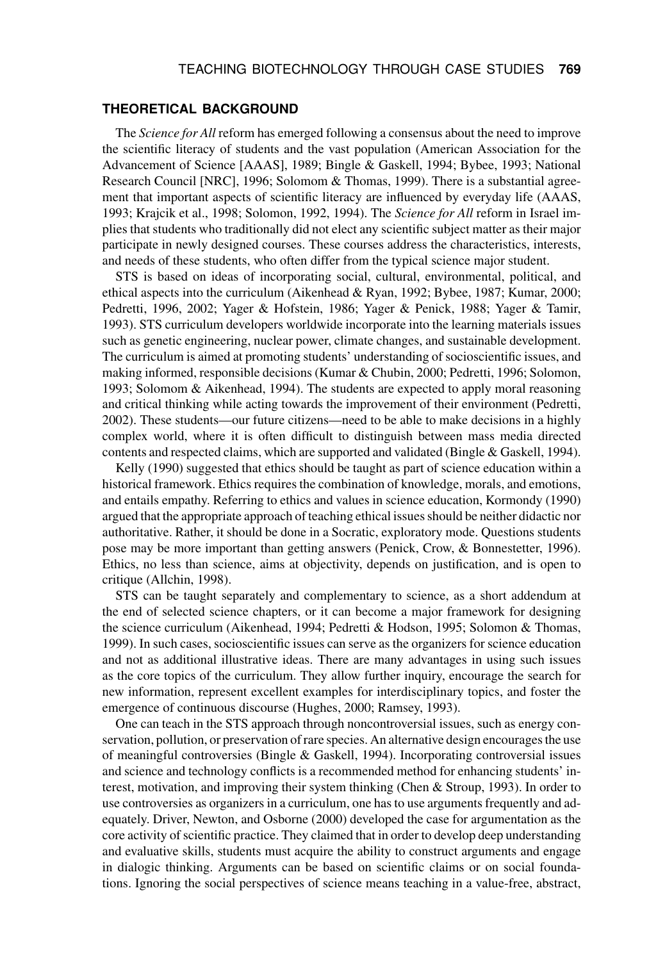#### **THEORETICAL BACKGROUND**

The *Science for All* reform has emerged following a consensus about the need to improve the scientific literacy of students and the vast population (American Association for the Advancement of Science [AAAS], 1989; Bingle & Gaskell, 1994; Bybee, 1993; National Research Council [NRC], 1996; Solomom & Thomas, 1999). There is a substantial agreement that important aspects of scientific literacy are influenced by everyday life (AAAS, 1993; Krajcik et al., 1998; Solomon, 1992, 1994). The *Science for All* reform in Israel implies that students who traditionally did not elect any scientific subject matter as their major participate in newly designed courses. These courses address the characteristics, interests, and needs of these students, who often differ from the typical science major student.

STS is based on ideas of incorporating social, cultural, environmental, political, and ethical aspects into the curriculum (Aikenhead & Ryan, 1992; Bybee, 1987; Kumar, 2000; Pedretti, 1996, 2002; Yager & Hofstein, 1986; Yager & Penick, 1988; Yager & Tamir, 1993). STS curriculum developers worldwide incorporate into the learning materials issues such as genetic engineering, nuclear power, climate changes, and sustainable development. The curriculum is aimed at promoting students' understanding of socioscientific issues, and making informed, responsible decisions (Kumar & Chubin, 2000; Pedretti, 1996; Solomon, 1993; Solomom & Aikenhead, 1994). The students are expected to apply moral reasoning and critical thinking while acting towards the improvement of their environment (Pedretti, 2002). These students—our future citizens—need to be able to make decisions in a highly complex world, where it is often difficult to distinguish between mass media directed contents and respected claims, which are supported and validated (Bingle & Gaskell, 1994).

Kelly (1990) suggested that ethics should be taught as part of science education within a historical framework. Ethics requires the combination of knowledge, morals, and emotions, and entails empathy. Referring to ethics and values in science education, Kormondy (1990) argued that the appropriate approach of teaching ethical issues should be neither didactic nor authoritative. Rather, it should be done in a Socratic, exploratory mode. Questions students pose may be more important than getting answers (Penick, Crow, & Bonnestetter, 1996). Ethics, no less than science, aims at objectivity, depends on justification, and is open to critique (Allchin, 1998).

STS can be taught separately and complementary to science, as a short addendum at the end of selected science chapters, or it can become a major framework for designing the science curriculum (Aikenhead, 1994; Pedretti & Hodson, 1995; Solomon & Thomas, 1999). In such cases, socioscientific issues can serve as the organizers for science education and not as additional illustrative ideas. There are many advantages in using such issues as the core topics of the curriculum. They allow further inquiry, encourage the search for new information, represent excellent examples for interdisciplinary topics, and foster the emergence of continuous discourse (Hughes, 2000; Ramsey, 1993).

One can teach in the STS approach through noncontroversial issues, such as energy conservation, pollution, or preservation of rare species. An alternative design encourages the use of meaningful controversies (Bingle & Gaskell, 1994). Incorporating controversial issues and science and technology conflicts is a recommended method for enhancing students' interest, motivation, and improving their system thinking (Chen & Stroup, 1993). In order to use controversies as organizers in a curriculum, one has to use arguments frequently and adequately. Driver, Newton, and Osborne (2000) developed the case for argumentation as the core activity of scientific practice. They claimed that in order to develop deep understanding and evaluative skills, students must acquire the ability to construct arguments and engage in dialogic thinking. Arguments can be based on scientific claims or on social foundations. Ignoring the social perspectives of science means teaching in a value-free, abstract,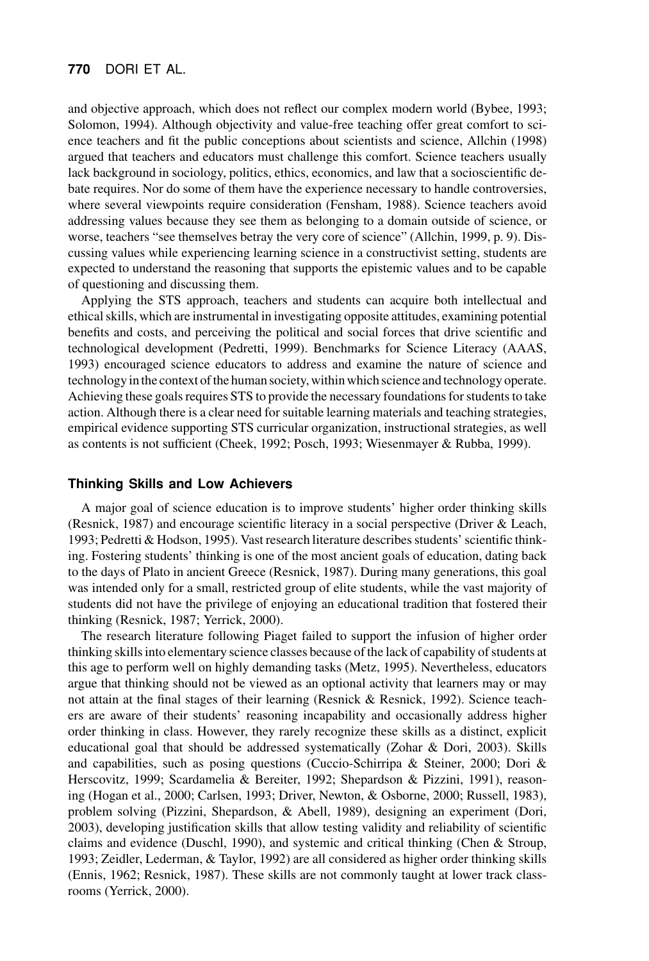and objective approach, which does not reflect our complex modern world (Bybee, 1993; Solomon, 1994). Although objectivity and value-free teaching offer great comfort to science teachers and fit the public conceptions about scientists and science, Allchin (1998) argued that teachers and educators must challenge this comfort. Science teachers usually lack background in sociology, politics, ethics, economics, and law that a socioscientific debate requires. Nor do some of them have the experience necessary to handle controversies, where several viewpoints require consideration (Fensham, 1988). Science teachers avoid addressing values because they see them as belonging to a domain outside of science, or worse, teachers "see themselves betray the very core of science" (Allchin, 1999, p. 9). Discussing values while experiencing learning science in a constructivist setting, students are expected to understand the reasoning that supports the epistemic values and to be capable of questioning and discussing them.

Applying the STS approach, teachers and students can acquire both intellectual and ethical skills, which are instrumental in investigating opposite attitudes, examining potential benefits and costs, and perceiving the political and social forces that drive scientific and technological development (Pedretti, 1999). Benchmarks for Science Literacy (AAAS, 1993) encouraged science educators to address and examine the nature of science and technology in the context of the human society, within which science and technology operate. Achieving these goals requires STS to provide the necessary foundations for students to take action. Although there is a clear need for suitable learning materials and teaching strategies, empirical evidence supporting STS curricular organization, instructional strategies, as well as contents is not sufficient (Cheek, 1992; Posch, 1993; Wiesenmayer & Rubba, 1999).

## **Thinking Skills and Low Achievers**

A major goal of science education is to improve students' higher order thinking skills (Resnick, 1987) and encourage scientific literacy in a social perspective (Driver & Leach, 1993; Pedretti & Hodson, 1995). Vast research literature describes students'scientific thinking. Fostering students' thinking is one of the most ancient goals of education, dating back to the days of Plato in ancient Greece (Resnick, 1987). During many generations, this goal was intended only for a small, restricted group of elite students, while the vast majority of students did not have the privilege of enjoying an educational tradition that fostered their thinking (Resnick, 1987; Yerrick, 2000).

The research literature following Piaget failed to support the infusion of higher order thinking skills into elementary science classes because of the lack of capability of students at this age to perform well on highly demanding tasks (Metz, 1995). Nevertheless, educators argue that thinking should not be viewed as an optional activity that learners may or may not attain at the final stages of their learning (Resnick & Resnick, 1992). Science teachers are aware of their students' reasoning incapability and occasionally address higher order thinking in class. However, they rarely recognize these skills as a distinct, explicit educational goal that should be addressed systematically (Zohar & Dori, 2003). Skills and capabilities, such as posing questions (Cuccio-Schirripa & Steiner, 2000; Dori & Herscovitz, 1999; Scardamelia & Bereiter, 1992; Shepardson & Pizzini, 1991), reasoning (Hogan et al., 2000; Carlsen, 1993; Driver, Newton, & Osborne, 2000; Russell, 1983), problem solving (Pizzini, Shepardson, & Abell, 1989), designing an experiment (Dori, 2003), developing justification skills that allow testing validity and reliability of scientific claims and evidence (Duschl, 1990), and systemic and critical thinking (Chen & Stroup, 1993; Zeidler, Lederman, & Taylor, 1992) are all considered as higher order thinking skills (Ennis, 1962; Resnick, 1987). These skills are not commonly taught at lower track classrooms (Yerrick, 2000).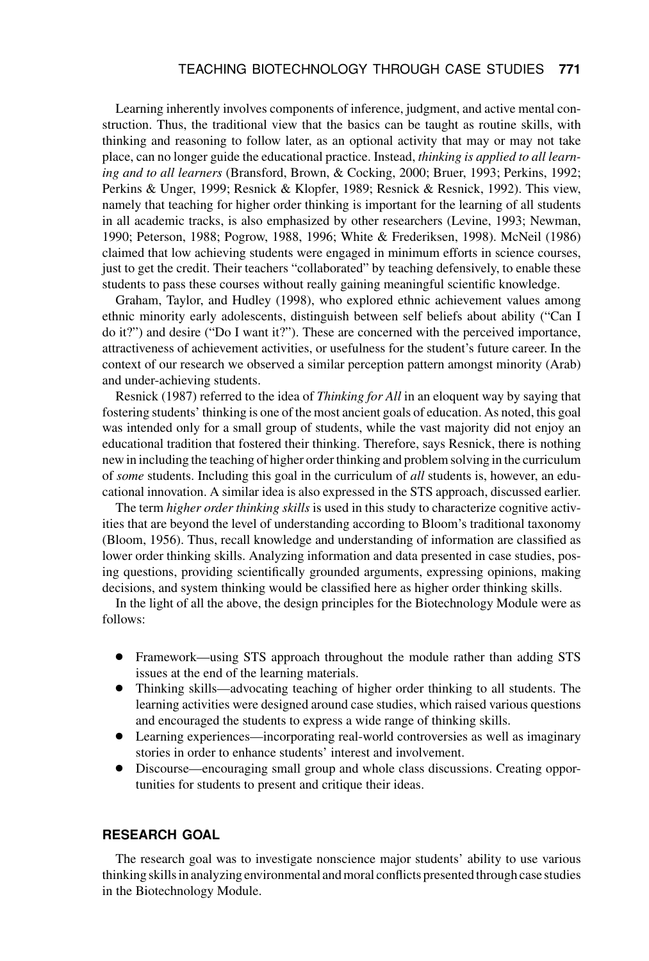Learning inherently involves components of inference, judgment, and active mental construction. Thus, the traditional view that the basics can be taught as routine skills, with thinking and reasoning to follow later, as an optional activity that may or may not take place, can no longer guide the educational practice. Instead, *thinking is applied to all learning and to all learners* (Bransford, Brown, & Cocking, 2000; Bruer, 1993; Perkins, 1992; Perkins & Unger, 1999; Resnick & Klopfer, 1989; Resnick & Resnick, 1992). This view, namely that teaching for higher order thinking is important for the learning of all students in all academic tracks, is also emphasized by other researchers (Levine, 1993; Newman, 1990; Peterson, 1988; Pogrow, 1988, 1996; White & Frederiksen, 1998). McNeil (1986) claimed that low achieving students were engaged in minimum efforts in science courses, just to get the credit. Their teachers "collaborated" by teaching defensively, to enable these students to pass these courses without really gaining meaningful scientific knowledge.

Graham, Taylor, and Hudley (1998), who explored ethnic achievement values among ethnic minority early adolescents, distinguish between self beliefs about ability ("Can I do it?") and desire ("Do I want it?"). These are concerned with the perceived importance, attractiveness of achievement activities, or usefulness for the student's future career. In the context of our research we observed a similar perception pattern amongst minority (Arab) and under-achieving students.

Resnick (1987) referred to the idea of *Thinking for All* in an eloquent way by saying that fostering students' thinking is one of the most ancient goals of education. As noted, this goal was intended only for a small group of students, while the vast majority did not enjoy an educational tradition that fostered their thinking. Therefore, says Resnick, there is nothing new in including the teaching of higher order thinking and problem solving in the curriculum of *some* students. Including this goal in the curriculum of *all* students is, however, an educational innovation. A similar idea is also expressed in the STS approach, discussed earlier.

The term *higher order thinking skills* is used in this study to characterize cognitive activities that are beyond the level of understanding according to Bloom's traditional taxonomy (Bloom, 1956). Thus, recall knowledge and understanding of information are classified as lower order thinking skills. Analyzing information and data presented in case studies, posing questions, providing scientifically grounded arguments, expressing opinions, making decisions, and system thinking would be classified here as higher order thinking skills.

In the light of all the above, the design principles for the Biotechnology Module were as follows:

- Framework—using STS approach throughout the module rather than adding STS issues at the end of the learning materials.
- Thinking skills—advocating teaching of higher order thinking to all students. The learning activities were designed around case studies, which raised various questions and encouraged the students to express a wide range of thinking skills.
- Learning experiences—incorporating real-world controversies as well as imaginary stories in order to enhance students' interest and involvement.
- Discourse—encouraging small group and whole class discussions. Creating opportunities for students to present and critique their ideas.

## **RESEARCH GOAL**

The research goal was to investigate nonscience major students' ability to use various thinking skills in analyzing environmental and moral conflicts presented through case studies in the Biotechnology Module.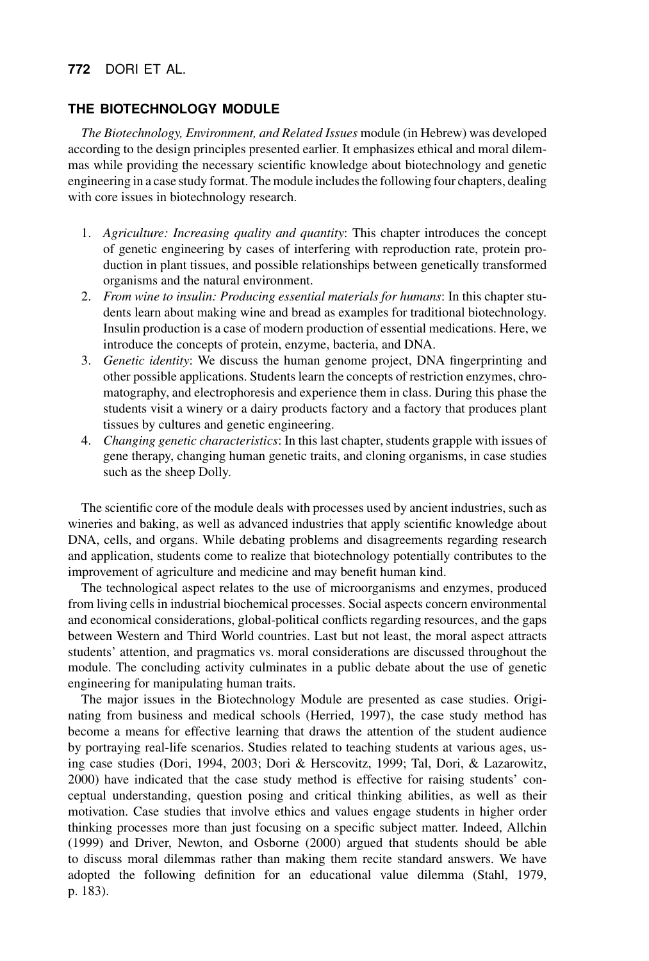# **THE BIOTECHNOLOGY MODULE**

*The Biotechnology, Environment, and Related Issues* module (in Hebrew) was developed according to the design principles presented earlier. It emphasizes ethical and moral dilemmas while providing the necessary scientific knowledge about biotechnology and genetic engineering in a case study format. The module includes the following four chapters, dealing with core issues in biotechnology research.

- 1. *Agriculture: Increasing quality and quantity*: This chapter introduces the concept of genetic engineering by cases of interfering with reproduction rate, protein production in plant tissues, and possible relationships between genetically transformed organisms and the natural environment.
- 2. *From wine to insulin: Producing essential materials for humans*: In this chapter students learn about making wine and bread as examples for traditional biotechnology. Insulin production is a case of modern production of essential medications. Here, we introduce the concepts of protein, enzyme, bacteria, and DNA.
- 3. *Genetic identity*: We discuss the human genome project, DNA fingerprinting and other possible applications. Students learn the concepts of restriction enzymes, chromatography, and electrophoresis and experience them in class. During this phase the students visit a winery or a dairy products factory and a factory that produces plant tissues by cultures and genetic engineering.
- 4. *Changing genetic characteristics*: In this last chapter, students grapple with issues of gene therapy, changing human genetic traits, and cloning organisms, in case studies such as the sheep Dolly.

The scientific core of the module deals with processes used by ancient industries, such as wineries and baking, as well as advanced industries that apply scientific knowledge about DNA, cells, and organs. While debating problems and disagreements regarding research and application, students come to realize that biotechnology potentially contributes to the improvement of agriculture and medicine and may benefit human kind.

The technological aspect relates to the use of microorganisms and enzymes, produced from living cells in industrial biochemical processes. Social aspects concern environmental and economical considerations, global-political conflicts regarding resources, and the gaps between Western and Third World countries. Last but not least, the moral aspect attracts students' attention, and pragmatics vs. moral considerations are discussed throughout the module. The concluding activity culminates in a public debate about the use of genetic engineering for manipulating human traits.

The major issues in the Biotechnology Module are presented as case studies. Originating from business and medical schools (Herried, 1997), the case study method has become a means for effective learning that draws the attention of the student audience by portraying real-life scenarios. Studies related to teaching students at various ages, using case studies (Dori, 1994, 2003; Dori & Herscovitz, 1999; Tal, Dori, & Lazarowitz, 2000) have indicated that the case study method is effective for raising students' conceptual understanding, question posing and critical thinking abilities, as well as their motivation. Case studies that involve ethics and values engage students in higher order thinking processes more than just focusing on a specific subject matter. Indeed, Allchin (1999) and Driver, Newton, and Osborne (2000) argued that students should be able to discuss moral dilemmas rather than making them recite standard answers. We have adopted the following definition for an educational value dilemma (Stahl, 1979, p. 183).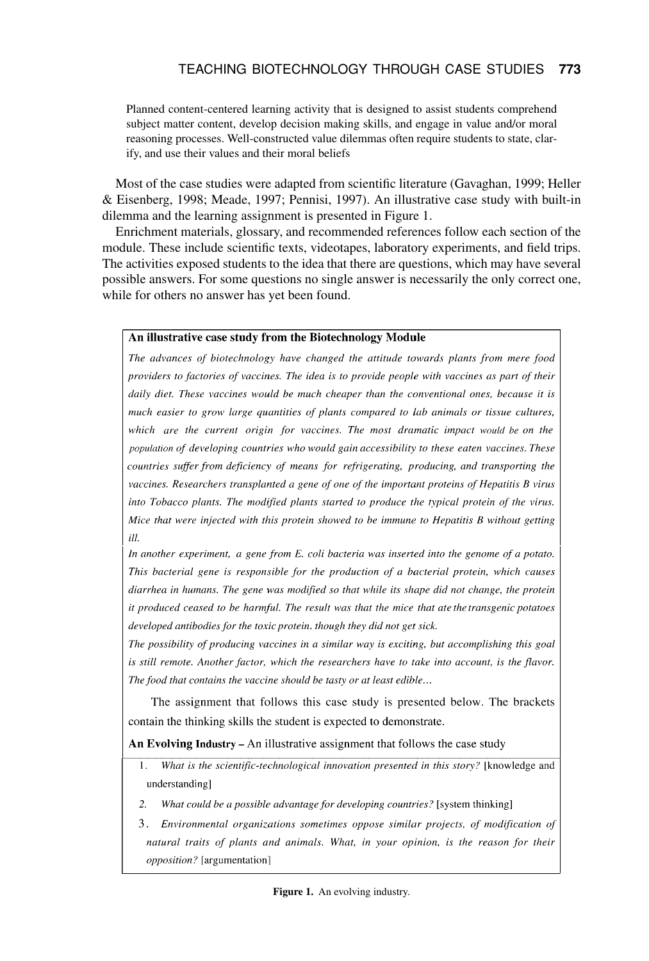Planned content-centered learning activity that is designed to assist students comprehend subject matter content, develop decision making skills, and engage in value and/or moral reasoning processes. Well-constructed value dilemmas often require students to state, clarify, and use their values and their moral beliefs

Most of the case studies were adapted from scientific literature (Gavaghan, 1999; Heller & Eisenberg, 1998; Meade, 1997; Pennisi, 1997). An illustrative case study with built-in dilemma and the learning assignment is presented in Figure 1.

Enrichment materials, glossary, and recommended references follow each section of the module. These include scientific texts, videotapes, laboratory experiments, and field trips. The activities exposed students to the idea that there are questions, which may have several possible answers. For some questions no single answer is necessarily the only correct one, while for others no answer has yet been found.

## An illustrative case study from the Biotechnology Module

The advances of biotechnology have changed the attitude towards plants from mere food providers to factories of vaccines. The idea is to provide people with vaccines as part of their daily diet. These vaccines would be much cheaper than the conventional ones, because it is much easier to grow large quantities of plants compared to lab animals or tissue cultures, which are the current origin for vaccines. The most dramatic impact would be on the population of developing countries who would gain accessibility to these eaten vaccines. These countries suffer from deficiency of means for refrigerating, producing, and transporting the vaccines. Researchers transplanted a gene of one of the important proteins of Hepatitis B virus into Tobacco plants. The modified plants started to produce the typical protein of the virus. Mice that were injected with this protein showed to be immune to Hepatitis B without getting ill.

In another experiment, a gene from E. coli bacteria was inserted into the genome of a potato. This bacterial gene is responsible for the production of a bacterial protein, which causes diarrhea in humans. The gene was modified so that while its shape did not change, the protein it produced ceased to be harmful. The result was that the mice that ate the transgenic potatoes developed antibodies for the toxic protein, though they did not get sick.

The possibility of producing vaccines in a similar way is exciting, but accomplishing this goal is still remote. Another factor, which the researchers have to take into account, is the flavor. The food that contains the vaccine should be tasty or at least edible...

The assignment that follows this case study is presented below. The brackets contain the thinking skills the student is expected to demonstrate.

An Evolving Industry – An illustrative assignment that follows the case study

- 1. What is the scientific-technological innovation presented in this story? [knowledge and understanding]
- 2. What could be a possible advantage for developing countries? [system thinking]
- 3. Environmental organizations sometimes oppose similar projects, of modification of natural traits of plants and animals. What, in your opinion, is the reason for their opposition? [argumentation]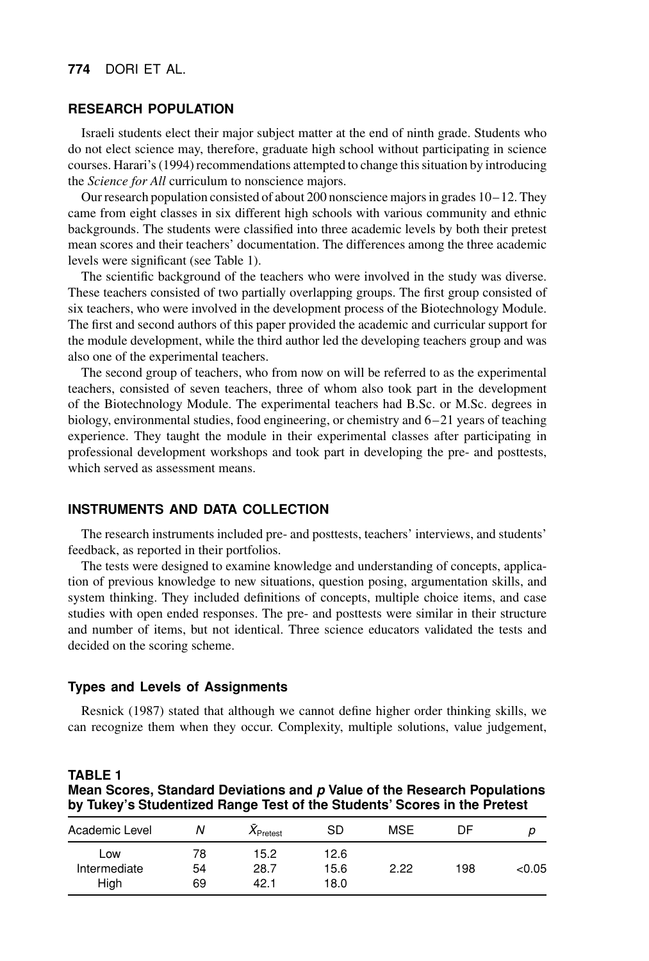## **RESEARCH POPULATION**

Israeli students elect their major subject matter at the end of ninth grade. Students who do not elect science may, therefore, graduate high school without participating in science courses. Harari's (1994) recommendations attempted to change this situation by introducing the *Science for All* curriculum to nonscience majors.

Our research population consisted of about 200 nonscience majors in grades 10–12. They came from eight classes in six different high schools with various community and ethnic backgrounds. The students were classified into three academic levels by both their pretest mean scores and their teachers' documentation. The differences among the three academic levels were significant (see Table 1).

The scientific background of the teachers who were involved in the study was diverse. These teachers consisted of two partially overlapping groups. The first group consisted of six teachers, who were involved in the development process of the Biotechnology Module. The first and second authors of this paper provided the academic and curricular support for the module development, while the third author led the developing teachers group and was also one of the experimental teachers.

The second group of teachers, who from now on will be referred to as the experimental teachers, consisted of seven teachers, three of whom also took part in the development of the Biotechnology Module. The experimental teachers had B.Sc. or M.Sc. degrees in biology, environmental studies, food engineering, or chemistry and 6–21 years of teaching experience. They taught the module in their experimental classes after participating in professional development workshops and took part in developing the pre- and posttests, which served as assessment means.

## **INSTRUMENTS AND DATA COLLECTION**

The research instruments included pre- and posttests, teachers' interviews, and students' feedback, as reported in their portfolios.

The tests were designed to examine knowledge and understanding of concepts, application of previous knowledge to new situations, question posing, argumentation skills, and system thinking. They included definitions of concepts, multiple choice items, and case studies with open ended responses. The pre- and posttests were similar in their structure and number of items, but not identical. Three science educators validated the tests and decided on the scoring scheme.

## **Types and Levels of Assignments**

**TABLE 1**

Resnick (1987) stated that although we cannot define higher order thinking skills, we can recognize them when they occur. Complexity, multiple solutions, value judgement,

| Mean Scores, Standard Deviations and p Value of the Research Populations<br>by Tukey's Studentized Range Test of the Students' Scores in the Pretest |   |                     |      |     |    |  |
|------------------------------------------------------------------------------------------------------------------------------------------------------|---|---------------------|------|-----|----|--|
| Academic Level                                                                                                                                       | N | $X_{\text{Draton}}$ | -SD. | MSF | DE |  |

| Academic Level              | N              | $\Lambda$ Pretest    | SD                   | MSE  | DF  |       |
|-----------------------------|----------------|----------------------|----------------------|------|-----|-------|
| Low<br>Intermediate<br>High | 78<br>54<br>69 | 15.2<br>28.7<br>42.1 | 12.6<br>15.6<br>18.0 | 2.22 | 198 | <0.05 |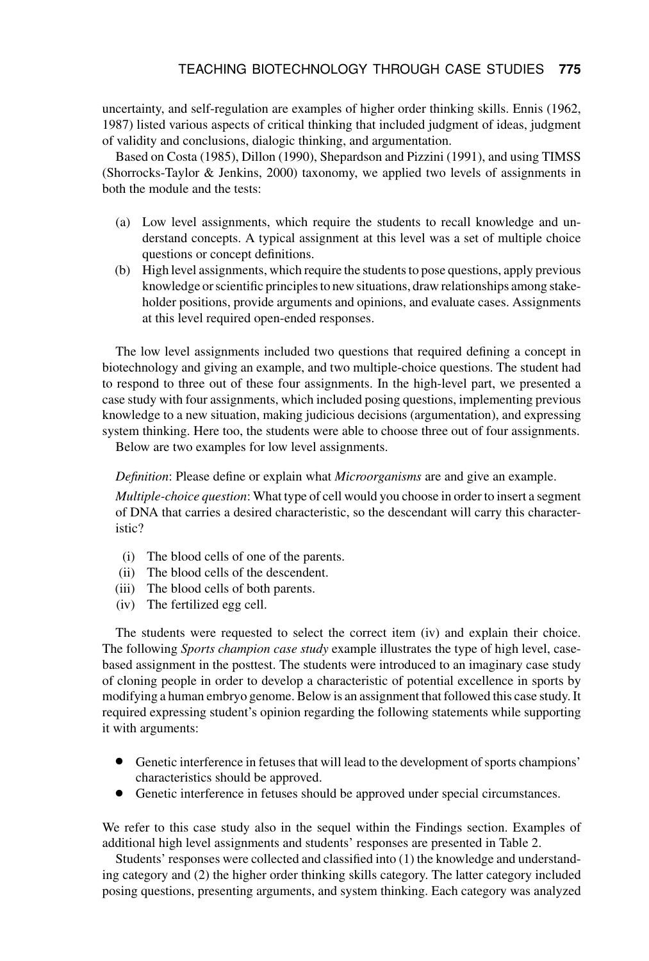uncertainty, and self-regulation are examples of higher order thinking skills. Ennis (1962, 1987) listed various aspects of critical thinking that included judgment of ideas, judgment of validity and conclusions, dialogic thinking, and argumentation.

Based on Costa (1985), Dillon (1990), Shepardson and Pizzini (1991), and using TIMSS (Shorrocks-Taylor & Jenkins, 2000) taxonomy, we applied two levels of assignments in both the module and the tests:

- (a) Low level assignments, which require the students to recall knowledge and understand concepts. A typical assignment at this level was a set of multiple choice questions or concept definitions.
- (b) High level assignments, which require the students to pose questions, apply previous knowledge or scientific principles to new situations, draw relationships among stakeholder positions, provide arguments and opinions, and evaluate cases. Assignments at this level required open-ended responses.

The low level assignments included two questions that required defining a concept in biotechnology and giving an example, and two multiple-choice questions. The student had to respond to three out of these four assignments. In the high-level part, we presented a case study with four assignments, which included posing questions, implementing previous knowledge to a new situation, making judicious decisions (argumentation), and expressing system thinking. Here too, the students were able to choose three out of four assignments.

Below are two examples for low level assignments.

#### *Definition*: Please define or explain what *Microorganisms* are and give an example.

*Multiple-choice question*: What type of cell would you choose in order to insert a segment of DNA that carries a desired characteristic, so the descendant will carry this characteristic?

- (i) The blood cells of one of the parents.
- (ii) The blood cells of the descendent.
- (iii) The blood cells of both parents.
- (iv) The fertilized egg cell.

The students were requested to select the correct item (iv) and explain their choice. The following *Sports champion case study* example illustrates the type of high level, casebased assignment in the posttest. The students were introduced to an imaginary case study of cloning people in order to develop a characteristic of potential excellence in sports by modifying a human embryo genome. Below is an assignment that followed this case study. It required expressing student's opinion regarding the following statements while supporting it with arguments:

- Genetic interference in fetuses that will lead to the development of sports champions' characteristics should be approved.
- Genetic interference in fetuses should be approved under special circumstances.

We refer to this case study also in the sequel within the Findings section. Examples of additional high level assignments and students' responses are presented in Table 2.

Students' responses were collected and classified into (1) the knowledge and understanding category and (2) the higher order thinking skills category. The latter category included posing questions, presenting arguments, and system thinking. Each category was analyzed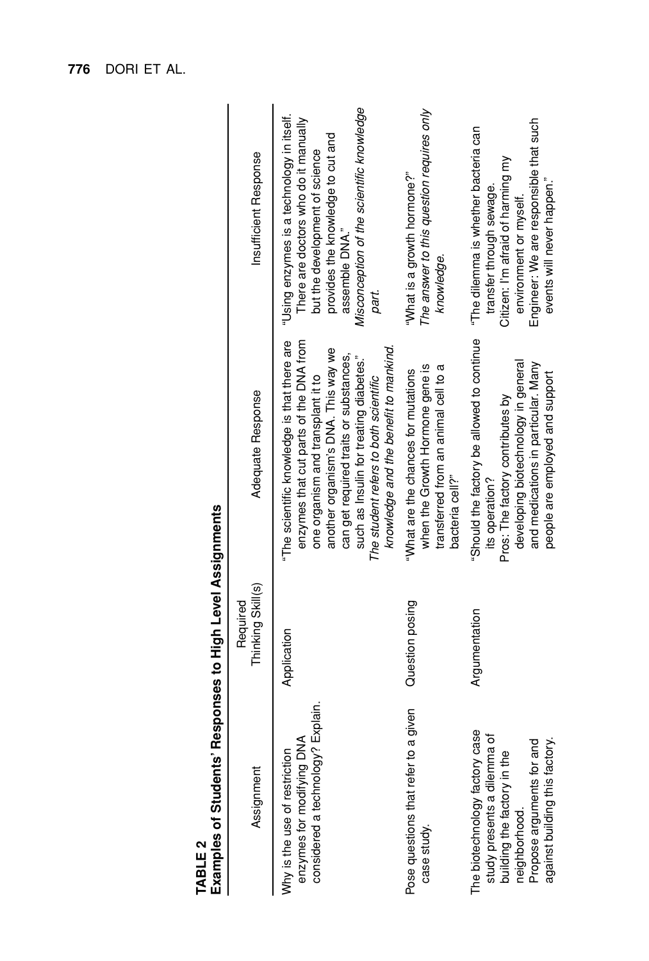| Examples of Students' Responses to High Level Assignments<br>TABLE <sub>2</sub>                                                                                              |                               |                                                                                                                                                                                                                                                                                                                                          |                                                                                                                                                                                                                                  |
|------------------------------------------------------------------------------------------------------------------------------------------------------------------------------|-------------------------------|------------------------------------------------------------------------------------------------------------------------------------------------------------------------------------------------------------------------------------------------------------------------------------------------------------------------------------------|----------------------------------------------------------------------------------------------------------------------------------------------------------------------------------------------------------------------------------|
| Assignment                                                                                                                                                                   | Thinking Skill(s)<br>Required | Adequate Response                                                                                                                                                                                                                                                                                                                        | Insufficient Response                                                                                                                                                                                                            |
| considered a technology? Explain.<br>enzymes for modifying DNA<br>Why is the use of restriction                                                                              | Application                   | enzymes that cut parts of the DNA from<br>"The scientific knowledge is that there are<br>knowledge and the benefit to mankind.<br>another organism's DNA. This way we<br>can get required traits or substances,<br>such as Insulin for treating diabetes."<br>one organism and transplant it to<br>The student refers to both scientific | Misconception of the scientific knowledge<br>"Using enzymes is a technology in itself.<br>There are doctors who do it manually<br>provides the knowledge to cut and<br>but the development of science<br>assemble DNA."<br>part. |
| Pose questions that refer to a given<br>case study.                                                                                                                          | Question posing               | when the Growth Hormone gene is<br>transferred from an animal cell to a<br>"What are the chances for mutations<br>bacteria cell?"                                                                                                                                                                                                        | The answer to this question requires only<br>"What is a growth hormone?"<br>knowledge.                                                                                                                                           |
| The biotechnology factory case<br>study presents a dilemma of<br>against building this factory.<br>Propose arguments for and<br>building the factory in the<br>neighborhood. | Argumentation                 | "Should the factory be allowed to continue<br>developing biotechnology in general<br>and medications in particular. Many<br>people are employed and support<br>Pros: The factory contributes by<br>its operation?                                                                                                                        | Engineer: We are responsible that such<br>"The dilemma is whether bacteria can<br>Citizen: I'm afraid of harming my<br>events will never happen."<br>transfer through sewage.<br>environment or myselt.                          |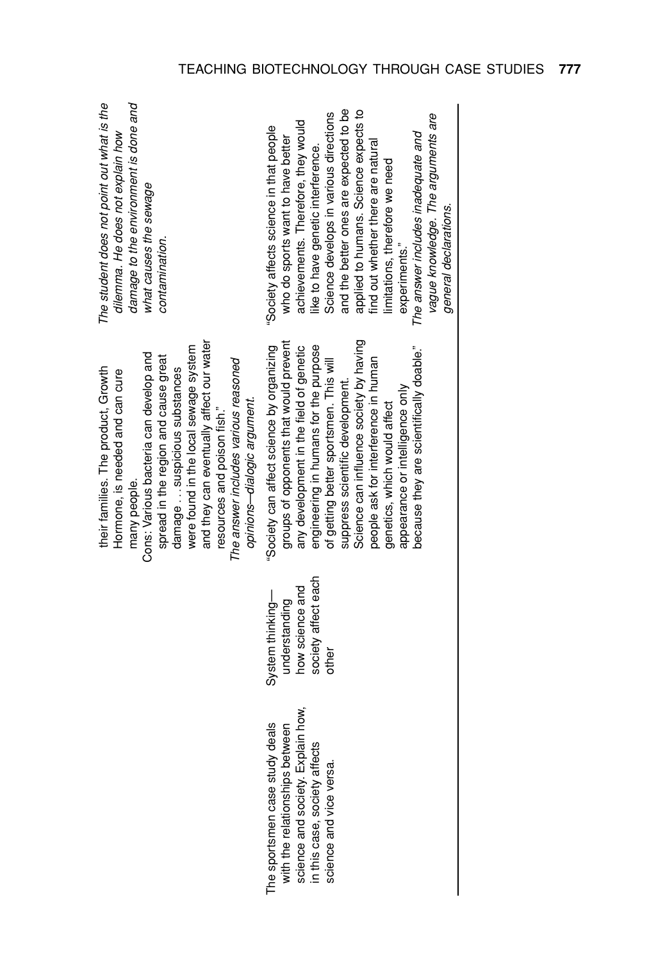| The student does not point out what is the<br>damage to the environment is done and<br>dilemma. He does not explain how<br>what causes the sewage<br>contamination.                                                                                                                                                                                                                                 | and the better ones are expected to be<br>applied to humans. Science expects to<br>Science develops in various directions<br>vague knowledge. The arguments are<br>achievements. Therefore, they would<br>"Society affects science in that people<br>The answer includes inadequate and<br>who do sports want to have better<br>find out whether there are natural<br>like to have genetic interference.<br>limitations, therefore we need<br>general declarations.<br>experiments." |
|-----------------------------------------------------------------------------------------------------------------------------------------------------------------------------------------------------------------------------------------------------------------------------------------------------------------------------------------------------------------------------------------------------|--------------------------------------------------------------------------------------------------------------------------------------------------------------------------------------------------------------------------------------------------------------------------------------------------------------------------------------------------------------------------------------------------------------------------------------------------------------------------------------|
| and they can eventually affect our water<br>were found in the local sewage system<br>Cons: Various bacteria can develop and<br>spread in the region and cause great<br>The answer includes various reasoned<br>their families. The product, Growth<br>damage suspicious substances<br>Hormone, is needed and can cure<br>opinions-dialogic argument.<br>resources and poison fish."<br>many people. | Science can influence society by having<br>groups of opponents that would prevent<br>engineering in humans for the purpose<br>any development in the field of genetic<br>because they are scientifically doable."<br>"Society can affect science by organizing<br>people ask for interference in human<br>of getting better sportsmen. This will<br>suppress scientific development.<br>appearance or intelligence only<br>genetics, which would affect                              |
|                                                                                                                                                                                                                                                                                                                                                                                                     | society affect each<br>how science and<br>System thinking-<br>understanding<br>other                                                                                                                                                                                                                                                                                                                                                                                                 |
|                                                                                                                                                                                                                                                                                                                                                                                                     | science and society. Explain how,<br>The sportsmen case study deals<br>with the relationships between<br>in this case, society affects<br>science and vice versa.                                                                                                                                                                                                                                                                                                                    |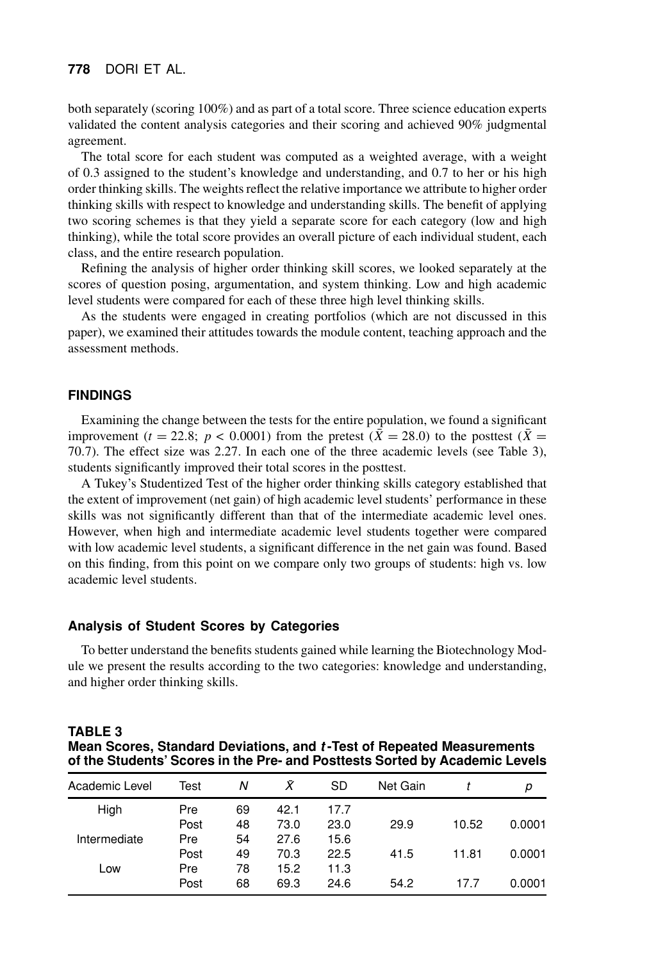both separately (scoring 100%) and as part of a total score. Three science education experts validated the content analysis categories and their scoring and achieved 90% judgmental agreement.

The total score for each student was computed as a weighted average, with a weight of 0.3 assigned to the student's knowledge and understanding, and 0.7 to her or his high order thinking skills. The weights reflect the relative importance we attribute to higher order thinking skills with respect to knowledge and understanding skills. The benefit of applying two scoring schemes is that they yield a separate score for each category (low and high thinking), while the total score provides an overall picture of each individual student, each class, and the entire research population.

Refining the analysis of higher order thinking skill scores, we looked separately at the scores of question posing, argumentation, and system thinking. Low and high academic level students were compared for each of these three high level thinking skills.

As the students were engaged in creating portfolios (which are not discussed in this paper), we examined their attitudes towards the module content, teaching approach and the assessment methods.

# **FINDINGS**

Examining the change between the tests for the entire population, we found a significant improvement ( $t = 22.8$ ;  $p < 0.0001$ ) from the pretest ( $\bar{X} = 28.0$ ) to the posttest ( $\bar{X} =$ 70.7). The effect size was 2.27. In each one of the three academic levels (see Table 3), students significantly improved their total scores in the posttest.

A Tukey's Studentized Test of the higher order thinking skills category established that the extent of improvement (net gain) of high academic level students' performance in these skills was not significantly different than that of the intermediate academic level ones. However, when high and intermediate academic level students together were compared with low academic level students, a significant difference in the net gain was found. Based on this finding, from this point on we compare only two groups of students: high vs. low academic level students.

# **Analysis of Student Scores by Categories**

To better understand the benefits students gained while learning the Biotechnology Module we present the results according to the two categories: knowledge and understanding, and higher order thinking skills.

| of the Students' Scores in the Pre- and Posttests Sorted by Academic Levels |      |    |      |      |          |       |        |
|-----------------------------------------------------------------------------|------|----|------|------|----------|-------|--------|
| Academic Level                                                              | Test | N  | Х    | SD   | Net Gain |       | р      |
| High                                                                        | Pre  | 69 | 42.1 | 17.7 |          |       |        |
|                                                                             | Post | 48 | 73.0 | 23.0 | 29.9     | 10.52 | 0.0001 |
| Intermediate                                                                | Pre  | 54 | 27.6 | 15.6 |          |       |        |
|                                                                             | Post | 49 | 70.3 | 22.5 | 41.5     | 11.81 | 0.0001 |
| Low                                                                         | Pre  | 78 | 15.2 | 11.3 |          |       |        |
|                                                                             | Post | 68 | 69.3 | 24.6 | 54.2     | 177   | 0.0001 |

**TABLE 3 Mean Scores, Standard Deviations, and** *t* **-Test of Repeated Measurements**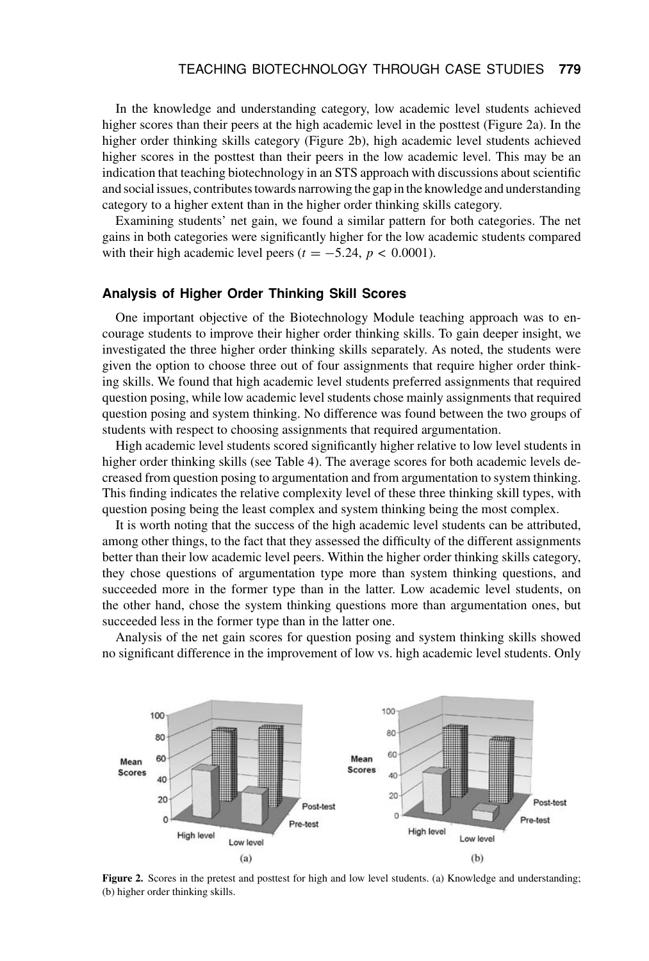In the knowledge and understanding category, low academic level students achieved higher scores than their peers at the high academic level in the posttest (Figure 2a). In the higher order thinking skills category (Figure 2b), high academic level students achieved higher scores in the posttest than their peers in the low academic level. This may be an indication that teaching biotechnology in an STS approach with discussions about scientific and social issues, contributes towards narrowing the gap in the knowledge and understanding category to a higher extent than in the higher order thinking skills category.

Examining students' net gain, we found a similar pattern for both categories. The net gains in both categories were significantly higher for the low academic students compared with their high academic level peers ( $t = -5.24$ ,  $p < 0.0001$ ).

#### **Analysis of Higher Order Thinking Skill Scores**

One important objective of the Biotechnology Module teaching approach was to encourage students to improve their higher order thinking skills. To gain deeper insight, we investigated the three higher order thinking skills separately. As noted, the students were given the option to choose three out of four assignments that require higher order thinking skills. We found that high academic level students preferred assignments that required question posing, while low academic level students chose mainly assignments that required question posing and system thinking. No difference was found between the two groups of students with respect to choosing assignments that required argumentation.

High academic level students scored significantly higher relative to low level students in higher order thinking skills (see Table 4). The average scores for both academic levels decreased from question posing to argumentation and from argumentation to system thinking. This finding indicates the relative complexity level of these three thinking skill types, with question posing being the least complex and system thinking being the most complex.

It is worth noting that the success of the high academic level students can be attributed, among other things, to the fact that they assessed the difficulty of the different assignments better than their low academic level peers. Within the higher order thinking skills category, they chose questions of argumentation type more than system thinking questions, and succeeded more in the former type than in the latter. Low academic level students, on the other hand, chose the system thinking questions more than argumentation ones, but succeeded less in the former type than in the latter one.

Analysis of the net gain scores for question posing and system thinking skills showed no significant difference in the improvement of low vs. high academic level students. Only



Figure 2. Scores in the pretest and posttest for high and low level students. (a) Knowledge and understanding; (b) higher order thinking skills.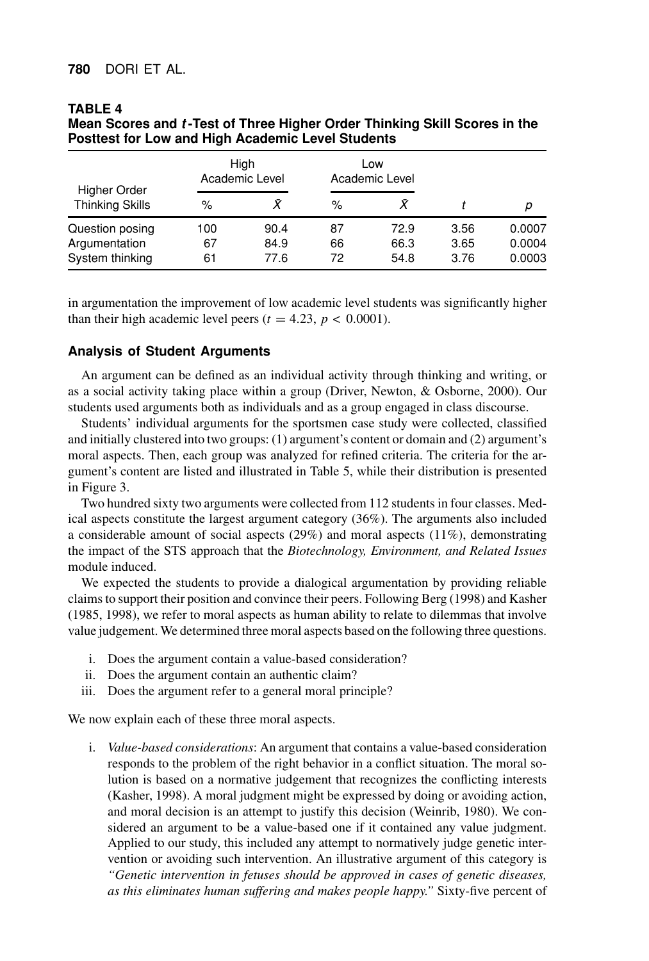**TABLE 4**

|                        |                | High |                | Low  |      |        |
|------------------------|----------------|------|----------------|------|------|--------|
| Higher Order           | Academic Level |      | Academic Level |      |      |        |
| <b>Thinking Skills</b> | %              | Х    | %              |      |      | р      |
| Question posing        | 100            | 90.4 | 87             | 72.9 | 3.56 | 0.0007 |
| Argumentation          | 67             | 84.9 | 66             | 66.3 | 3.65 | 0.0004 |
| System thinking        | 61             | 77.6 | 72             | 54.8 | 3.76 | 0.0003 |

| IADLE 4                                                                   |  |
|---------------------------------------------------------------------------|--|
| Mean Scores and t-Test of Three Higher Order Thinking Skill Scores in the |  |
| Posttest for Low and High Academic Level Students                         |  |

in argumentation the improvement of low academic level students was significantly higher than their high academic level peers ( $t = 4.23$ ,  $p < 0.0001$ ).

# **Analysis of Student Arguments**

An argument can be defined as an individual activity through thinking and writing, or as a social activity taking place within a group (Driver, Newton, & Osborne, 2000). Our students used arguments both as individuals and as a group engaged in class discourse.

Students' individual arguments for the sportsmen case study were collected, classified and initially clustered into two groups: (1) argument's content or domain and (2) argument's moral aspects. Then, each group was analyzed for refined criteria. The criteria for the argument's content are listed and illustrated in Table 5, while their distribution is presented in Figure 3.

Two hundred sixty two arguments were collected from 112 students in four classes. Medical aspects constitute the largest argument category (36%). The arguments also included a considerable amount of social aspects (29%) and moral aspects (11%), demonstrating the impact of the STS approach that the *Biotechnology, Environment, and Related Issues* module induced.

We expected the students to provide a dialogical argumentation by providing reliable claims to support their position and convince their peers. Following Berg (1998) and Kasher (1985, 1998), we refer to moral aspects as human ability to relate to dilemmas that involve value judgement. We determined three moral aspects based on the following three questions.

- i. Does the argument contain a value-based consideration?
- ii. Does the argument contain an authentic claim?
- iii. Does the argument refer to a general moral principle?

We now explain each of these three moral aspects.

i. *Value-based considerations*: An argument that contains a value-based consideration responds to the problem of the right behavior in a conflict situation. The moral solution is based on a normative judgement that recognizes the conflicting interests (Kasher, 1998). A moral judgment might be expressed by doing or avoiding action, and moral decision is an attempt to justify this decision (Weinrib, 1980). We considered an argument to be a value-based one if it contained any value judgment. Applied to our study, this included any attempt to normatively judge genetic intervention or avoiding such intervention. An illustrative argument of this category is *"Genetic intervention in fetuses should be approved in cases of genetic diseases, as this eliminates human suffering and makes people happy."* Sixty-five percent of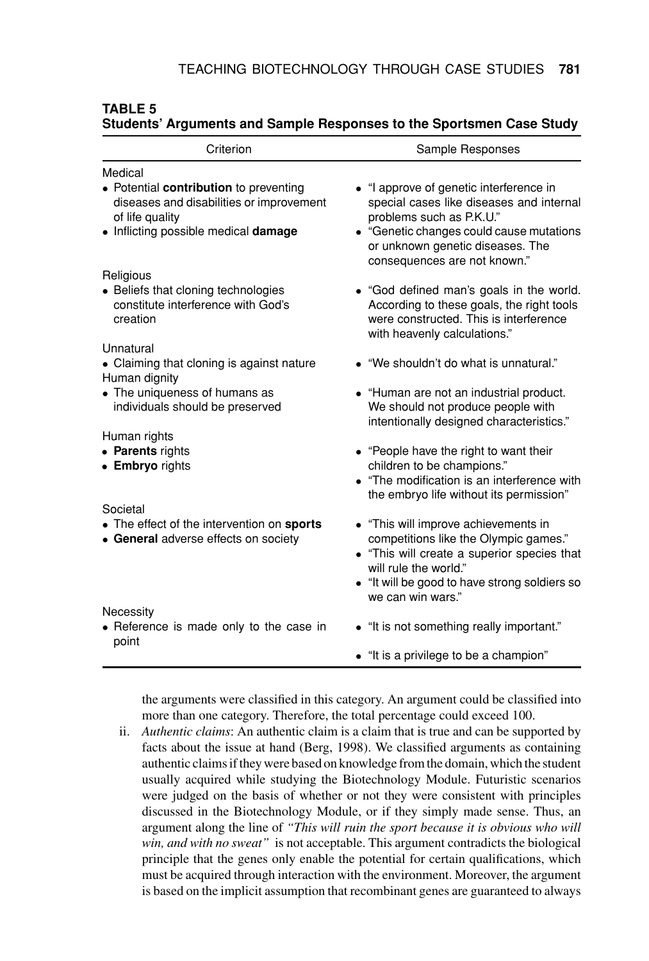| Criterion                                                                                             | Sample Responses                                                                                                                                                |
|-------------------------------------------------------------------------------------------------------|-----------------------------------------------------------------------------------------------------------------------------------------------------------------|
| Medical                                                                                               |                                                                                                                                                                 |
| • Potential contribution to preventing<br>diseases and disabilities or improvement<br>of life quality | • "I approve of genetic interference in<br>special cases like diseases and internal<br>problems such as P.K.U."                                                 |
| • Inflicting possible medical damage                                                                  | • "Genetic changes could cause mutations<br>or unknown genetic diseases. The<br>consequences are not known."                                                    |
| Religious                                                                                             |                                                                                                                                                                 |
| • Beliefs that cloning technologies<br>constitute interference with God's<br>creation                 | • "God defined man's goals in the world.<br>According to these goals, the right tools<br>were constructed. This is interference<br>with heavenly calculations." |
| Unnatural                                                                                             |                                                                                                                                                                 |
| • Claiming that cloning is against nature<br>Human dignity                                            | • "We shouldn't do what is unnatural."                                                                                                                          |
| • The uniqueness of humans as<br>individuals should be preserved                                      | • "Human are not an industrial product.<br>We should not produce people with<br>intentionally designed characteristics."                                        |
| Human rights                                                                                          |                                                                                                                                                                 |
| • Parents rights                                                                                      | • "People have the right to want their                                                                                                                          |
| • Embryo rights<br>Societal                                                                           | children to be champions."<br>• "The modification is an interference with<br>the embryo life without its permission"                                            |
| • The effect of the intervention on sports                                                            | • "This will improve achievements in                                                                                                                            |
| <b>General</b> adverse effects on society                                                             | competitions like the Olympic games."                                                                                                                           |
|                                                                                                       | • "This will create a superior species that<br>will rule the world."                                                                                            |
|                                                                                                       | • "It will be good to have strong soldiers so<br>we can win wars."                                                                                              |
| Necessity<br>• Reference is made only to the case in                                                  | • "It is not something really important."                                                                                                                       |
| point                                                                                                 | • "It is a privilege to be a champion"                                                                                                                          |

#### **TABLE 5 Students' Arguments and Sample Responses to the Sportsmen Case Study**

the arguments were classified in this category. An argument could be classified into more than one category. Therefore, the total percentage could exceed 100.

ii. *Authentic claims*: An authentic claim is a claim that is true and can be supported by facts about the issue at hand (Berg, 1998). We classified arguments as containing authentic claims if they were based on knowledge from the domain, which the student usually acquired while studying the Biotechnology Module. Futuristic scenarios were judged on the basis of whether or not they were consistent with principles discussed in the Biotechnology Module, or if they simply made sense. Thus, an argument along the line of *"This will ruin the sport because it is obvious who will win, and with no sweat"* is not acceptable. This argument contradicts the biological principle that the genes only enable the potential for certain qualifications, which must be acquired through interaction with the environment. Moreover, the argument is based on the implicit assumption that recombinant genes are guaranteed to always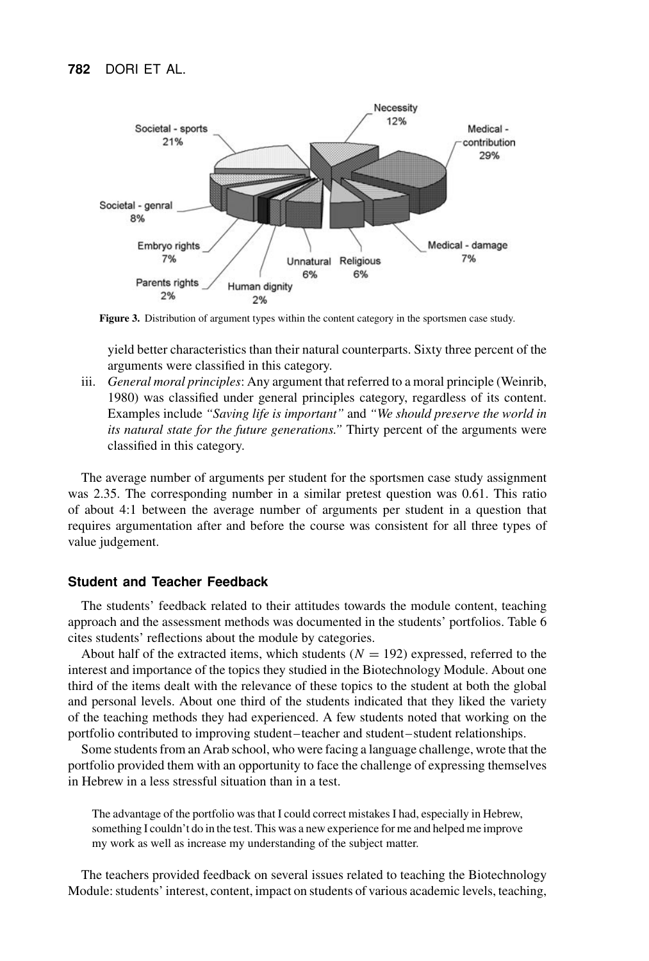

Figure 3. Distribution of argument types within the content category in the sportsmen case study.

yield better characteristics than their natural counterparts. Sixty three percent of the arguments were classified in this category.

iii. *General moral principles*: Any argument that referred to a moral principle (Weinrib, 1980) was classified under general principles category, regardless of its content. Examples include *"Saving life is important"* and *"We should preserve the world in its natural state for the future generations."* Thirty percent of the arguments were classified in this category.

The average number of arguments per student for the sportsmen case study assignment was 2.35. The corresponding number in a similar pretest question was 0.61. This ratio of about 4:1 between the average number of arguments per student in a question that requires argumentation after and before the course was consistent for all three types of value judgement.

## **Student and Teacher Feedback**

The students' feedback related to their attitudes towards the module content, teaching approach and the assessment methods was documented in the students' portfolios. Table 6 cites students' reflections about the module by categories.

About half of the extracted items, which students  $(N = 192)$  expressed, referred to the interest and importance of the topics they studied in the Biotechnology Module. About one third of the items dealt with the relevance of these topics to the student at both the global and personal levels. About one third of the students indicated that they liked the variety of the teaching methods they had experienced. A few students noted that working on the portfolio contributed to improving student–teacher and student–student relationships.

Some students from an Arab school, who were facing a language challenge, wrote that the portfolio provided them with an opportunity to face the challenge of expressing themselves in Hebrew in a less stressful situation than in a test.

The advantage of the portfolio was that I could correct mistakes I had, especially in Hebrew, something I couldn't do in the test. This was a new experience for me and helped me improve my work as well as increase my understanding of the subject matter.

The teachers provided feedback on several issues related to teaching the Biotechnology Module: students' interest, content, impact on students of various academic levels, teaching,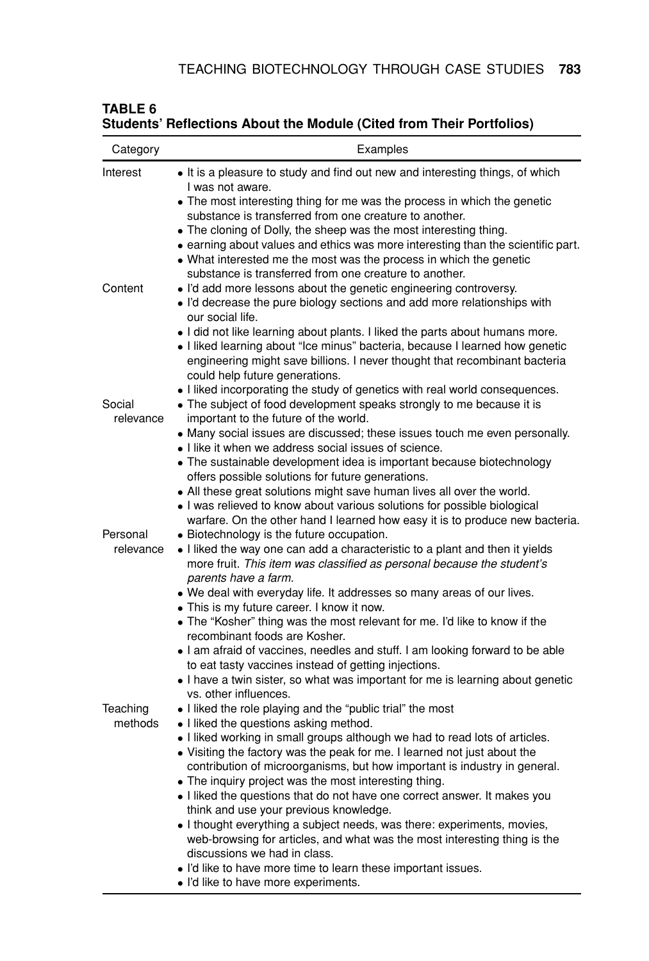| Category              | Examples                                                                                                                                                                                                                                                                                                                                                                                                                                                                                                                                                                                                                                                                                                                                                                              |
|-----------------------|---------------------------------------------------------------------------------------------------------------------------------------------------------------------------------------------------------------------------------------------------------------------------------------------------------------------------------------------------------------------------------------------------------------------------------------------------------------------------------------------------------------------------------------------------------------------------------------------------------------------------------------------------------------------------------------------------------------------------------------------------------------------------------------|
| Interest              | . It is a pleasure to study and find out new and interesting things, of which<br>I was not aware.<br>• The most interesting thing for me was the process in which the genetic<br>substance is transferred from one creature to another.<br>• The cloning of Dolly, the sheep was the most interesting thing.<br>• earning about values and ethics was more interesting than the scientific part.                                                                                                                                                                                                                                                                                                                                                                                      |
| Content               | • What interested me the most was the process in which the genetic<br>substance is transferred from one creature to another.<br>• I'd add more lessons about the genetic engineering controversy.<br>• I'd decrease the pure biology sections and add more relationships with<br>our social life.                                                                                                                                                                                                                                                                                                                                                                                                                                                                                     |
|                       | . I did not like learning about plants. I liked the parts about humans more.<br>. I liked learning about "Ice minus" bacteria, because I learned how genetic<br>engineering might save billions. I never thought that recombinant bacteria<br>could help future generations.<br>. I liked incorporating the study of genetics with real world consequences.                                                                                                                                                                                                                                                                                                                                                                                                                           |
| Social<br>relevance   | • The subject of food development speaks strongly to me because it is<br>important to the future of the world.<br>• Many social issues are discussed; these issues touch me even personally.<br>• I like it when we address social issues of science.<br>• The sustainable development idea is important because biotechnology<br>offers possible solutions for future generations.<br>• All these great solutions might save human lives all over the world.<br>. I was relieved to know about various solutions for possible biological<br>warfare. On the other hand I learned how easy it is to produce new bacteria.                                                                                                                                                             |
| Personal<br>relevance | • Biotechnology is the future occupation.<br>. I liked the way one can add a characteristic to a plant and then it yields<br>more fruit. This item was classified as personal because the student's<br>parents have a farm.<br>• We deal with everyday life. It addresses so many areas of our lives.<br>• This is my future career. I know it now.<br>• The "Kosher" thing was the most relevant for me. I'd like to know if the<br>recombinant foods are Kosher.<br>. I am afraid of vaccines, needles and stuff. I am looking forward to be able<br>to eat tasty vaccines instead of getting injections.<br>. I have a twin sister, so what was important for me is learning about genetic<br>vs. other influences.                                                                |
| Teaching<br>methods   | . I liked the role playing and the "public trial" the most<br>. I liked the questions asking method.<br>. I liked working in small groups although we had to read lots of articles.<br>• Visiting the factory was the peak for me. I learned not just about the<br>contribution of microorganisms, but how important is industry in general.<br>• The inquiry project was the most interesting thing.<br>. I liked the questions that do not have one correct answer. It makes you<br>think and use your previous knowledge.<br>. I thought everything a subject needs, was there: experiments, movies,<br>web-browsing for articles, and what was the most interesting thing is the<br>discussions we had in class.<br>· I'd like to have more time to learn these important issues. |

**TABLE 6 Students' Reflections About the Module (Cited from Their Portfolios)**

• I'd like to have more experiments.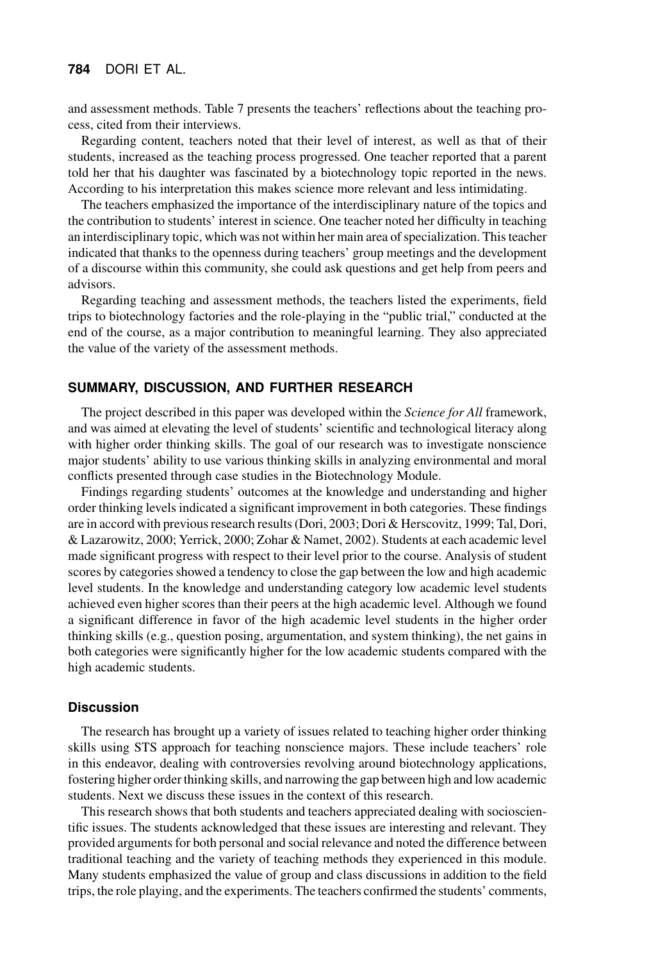and assessment methods. Table 7 presents the teachers' reflections about the teaching process, cited from their interviews.

Regarding content, teachers noted that their level of interest, as well as that of their students, increased as the teaching process progressed. One teacher reported that a parent told her that his daughter was fascinated by a biotechnology topic reported in the news. According to his interpretation this makes science more relevant and less intimidating.

The teachers emphasized the importance of the interdisciplinary nature of the topics and the contribution to students' interest in science. One teacher noted her difficulty in teaching an interdisciplinary topic, which was not within her main area of specialization. This teacher indicated that thanks to the openness during teachers' group meetings and the development of a discourse within this community, she could ask questions and get help from peers and advisors.

Regarding teaching and assessment methods, the teachers listed the experiments, field trips to biotechnology factories and the role-playing in the "public trial," conducted at the end of the course, as a major contribution to meaningful learning. They also appreciated the value of the variety of the assessment methods.

#### **SUMMARY, DISCUSSION, AND FURTHER RESEARCH**

The project described in this paper was developed within the *Science for All* framework, and was aimed at elevating the level of students' scientific and technological literacy along with higher order thinking skills. The goal of our research was to investigate nonscience major students' ability to use various thinking skills in analyzing environmental and moral conflicts presented through case studies in the Biotechnology Module.

Findings regarding students' outcomes at the knowledge and understanding and higher order thinking levels indicated a significant improvement in both categories. These findings are in accord with previous research results (Dori, 2003; Dori & Herscovitz, 1999; Tal, Dori, & Lazarowitz, 2000; Yerrick, 2000; Zohar & Namet, 2002). Students at each academic level made significant progress with respect to their level prior to the course. Analysis of student scores by categories showed a tendency to close the gap between the low and high academic level students. In the knowledge and understanding category low academic level students achieved even higher scores than their peers at the high academic level. Although we found a significant difference in favor of the high academic level students in the higher order thinking skills (e.g., question posing, argumentation, and system thinking), the net gains in both categories were significantly higher for the low academic students compared with the high academic students.

## **Discussion**

The research has brought up a variety of issues related to teaching higher order thinking skills using STS approach for teaching nonscience majors. These include teachers' role in this endeavor, dealing with controversies revolving around biotechnology applications, fostering higher order thinking skills, and narrowing the gap between high and low academic students. Next we discuss these issues in the context of this research.

This research shows that both students and teachers appreciated dealing with socioscientific issues. The students acknowledged that these issues are interesting and relevant. They provided arguments for both personal and social relevance and noted the difference between traditional teaching and the variety of teaching methods they experienced in this module. Many students emphasized the value of group and class discussions in addition to the field trips, the role playing, and the experiments. The teachers confirmed the students' comments,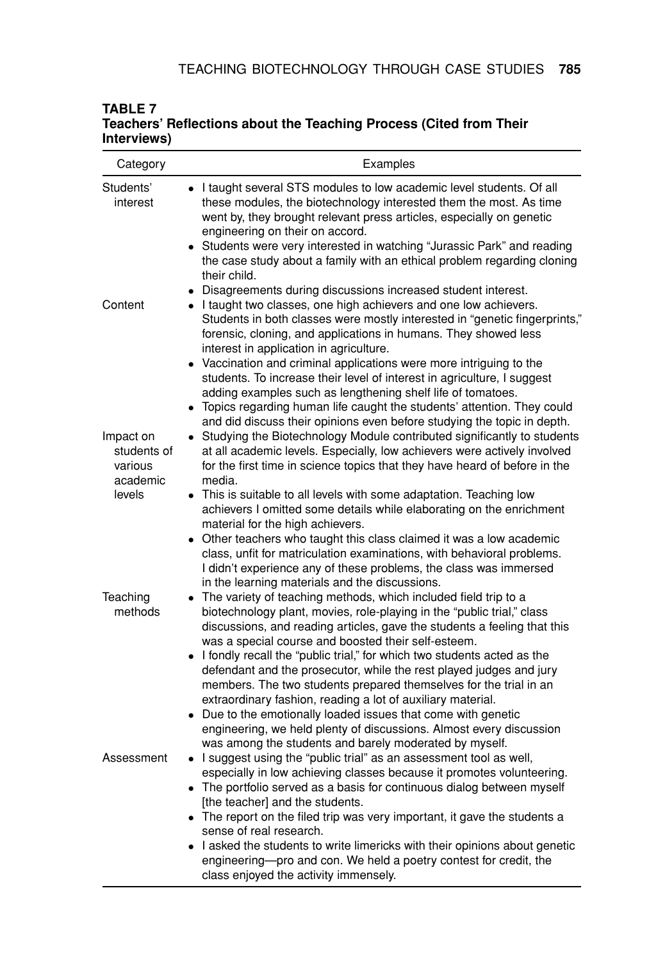| Category                                                  | Examples                                                                                                                                                                                                                                                                                                                                                                                                                                               |
|-----------------------------------------------------------|--------------------------------------------------------------------------------------------------------------------------------------------------------------------------------------------------------------------------------------------------------------------------------------------------------------------------------------------------------------------------------------------------------------------------------------------------------|
| Students'<br>interest                                     | • I taught several STS modules to low academic level students. Of all<br>these modules, the biotechnology interested them the most. As time<br>went by, they brought relevant press articles, especially on genetic<br>engineering on their on accord.<br>Students were very interested in watching "Jurassic Park" and reading<br>the case study about a family with an ethical problem regarding cloning                                             |
| Content                                                   | their child.<br>Disagreements during discussions increased student interest.<br>I taught two classes, one high achievers and one low achievers.<br>Students in both classes were mostly interested in "genetic fingerprints,"<br>forensic, cloning, and applications in humans. They showed less<br>interest in application in agriculture.                                                                                                            |
|                                                           | • Vaccination and criminal applications were more intriguing to the<br>students. To increase their level of interest in agriculture, I suggest<br>adding examples such as lengthening shelf life of tomatoes.<br>Topics regarding human life caught the students' attention. They could<br>and did discuss their opinions even before studying the topic in depth.                                                                                     |
| Impact on<br>students of<br>various<br>academic<br>levels | Studying the Biotechnology Module contributed significantly to students<br>at all academic levels. Especially, low achievers were actively involved<br>for the first time in science topics that they have heard of before in the<br>media.<br>• This is suitable to all levels with some adaptation. Teaching low<br>achievers I omitted some details while elaborating on the enrichment                                                             |
| Teaching<br>methods                                       | material for the high achievers.<br>• Other teachers who taught this class claimed it was a low academic<br>class, unfit for matriculation examinations, with behavioral problems.<br>I didn't experience any of these problems, the class was immersed<br>in the learning materials and the discussions.<br>The variety of teaching methods, which included field trip to a<br>biotechnology plant, movies, role-playing in the "public trial," class |
|                                                           | discussions, and reading articles, gave the students a feeling that this<br>was a special course and boosted their self-esteem.<br>I fondly recall the "public trial," for which two students acted as the<br>defendant and the prosecutor, while the rest played judges and jury<br>members. The two students prepared themselves for the trial in an<br>extraordinary fashion, reading a lot of auxiliary material.                                  |
| Assessment                                                | Due to the emotionally loaded issues that come with genetic<br>engineering, we held plenty of discussions. Almost every discussion<br>was among the students and barely moderated by myself.<br>• I suggest using the "public trial" as an assessment tool as well,<br>especially in low achieving classes because it promotes volunteering.                                                                                                           |
|                                                           | • The portfolio served as a basis for continuous dialog between myself<br>[the teacher] and the students.<br>• The report on the filed trip was very important, it gave the students a<br>sense of real research.<br>• I asked the students to write limericks with their opinions about genetic<br>engineering-pro and con. We held a poetry contest for credit, the<br>class enjoyed the activity immensely.                                         |

# **TABLE 7 Teachers' Reflections about the Teaching Process (Cited from Their Interviews)**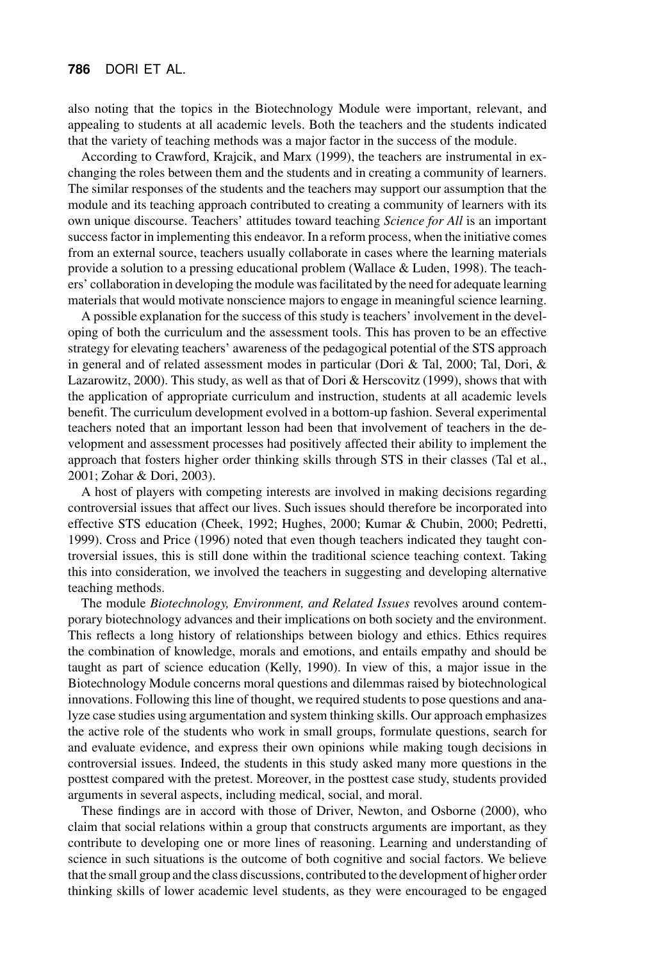also noting that the topics in the Biotechnology Module were important, relevant, and appealing to students at all academic levels. Both the teachers and the students indicated that the variety of teaching methods was a major factor in the success of the module.

According to Crawford, Krajcik, and Marx (1999), the teachers are instrumental in exchanging the roles between them and the students and in creating a community of learners. The similar responses of the students and the teachers may support our assumption that the module and its teaching approach contributed to creating a community of learners with its own unique discourse. Teachers' attitudes toward teaching *Science for All* is an important success factor in implementing this endeavor. In a reform process, when the initiative comes from an external source, teachers usually collaborate in cases where the learning materials provide a solution to a pressing educational problem (Wallace & Luden, 1998). The teachers' collaboration in developing the module was facilitated by the need for adequate learning materials that would motivate nonscience majors to engage in meaningful science learning.

A possible explanation for the success of this study is teachers' involvement in the developing of both the curriculum and the assessment tools. This has proven to be an effective strategy for elevating teachers' awareness of the pedagogical potential of the STS approach in general and of related assessment modes in particular (Dori & Tal, 2000; Tal, Dori, & Lazarowitz, 2000). This study, as well as that of Dori & Herscovitz (1999), shows that with the application of appropriate curriculum and instruction, students at all academic levels benefit. The curriculum development evolved in a bottom-up fashion. Several experimental teachers noted that an important lesson had been that involvement of teachers in the development and assessment processes had positively affected their ability to implement the approach that fosters higher order thinking skills through STS in their classes (Tal et al., 2001; Zohar & Dori, 2003).

A host of players with competing interests are involved in making decisions regarding controversial issues that affect our lives. Such issues should therefore be incorporated into effective STS education (Cheek, 1992; Hughes, 2000; Kumar & Chubin, 2000; Pedretti, 1999). Cross and Price (1996) noted that even though teachers indicated they taught controversial issues, this is still done within the traditional science teaching context. Taking this into consideration, we involved the teachers in suggesting and developing alternative teaching methods.

The module *Biotechnology, Environment, and Related Issues* revolves around contemporary biotechnology advances and their implications on both society and the environment. This reflects a long history of relationships between biology and ethics. Ethics requires the combination of knowledge, morals and emotions, and entails empathy and should be taught as part of science education (Kelly, 1990). In view of this, a major issue in the Biotechnology Module concerns moral questions and dilemmas raised by biotechnological innovations. Following this line of thought, we required students to pose questions and analyze case studies using argumentation and system thinking skills. Our approach emphasizes the active role of the students who work in small groups, formulate questions, search for and evaluate evidence, and express their own opinions while making tough decisions in controversial issues. Indeed, the students in this study asked many more questions in the posttest compared with the pretest. Moreover, in the posttest case study, students provided arguments in several aspects, including medical, social, and moral.

These findings are in accord with those of Driver, Newton, and Osborne (2000), who claim that social relations within a group that constructs arguments are important, as they contribute to developing one or more lines of reasoning. Learning and understanding of science in such situations is the outcome of both cognitive and social factors. We believe that the small group and the class discussions, contributed to the development of higher order thinking skills of lower academic level students, as they were encouraged to be engaged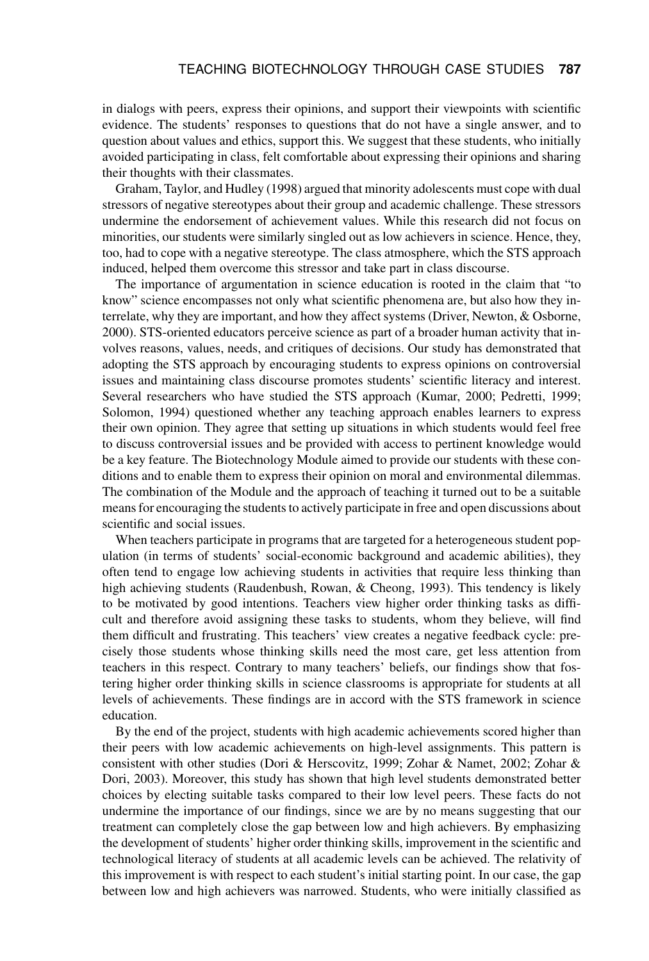in dialogs with peers, express their opinions, and support their viewpoints with scientific evidence. The students' responses to questions that do not have a single answer, and to question about values and ethics, support this. We suggest that these students, who initially avoided participating in class, felt comfortable about expressing their opinions and sharing their thoughts with their classmates.

Graham, Taylor, and Hudley (1998) argued that minority adolescents must cope with dual stressors of negative stereotypes about their group and academic challenge. These stressors undermine the endorsement of achievement values. While this research did not focus on minorities, our students were similarly singled out as low achievers in science. Hence, they, too, had to cope with a negative stereotype. The class atmosphere, which the STS approach induced, helped them overcome this stressor and take part in class discourse.

The importance of argumentation in science education is rooted in the claim that "to know" science encompasses not only what scientific phenomena are, but also how they interrelate, why they are important, and how they affect systems (Driver, Newton, & Osborne, 2000). STS-oriented educators perceive science as part of a broader human activity that involves reasons, values, needs, and critiques of decisions. Our study has demonstrated that adopting the STS approach by encouraging students to express opinions on controversial issues and maintaining class discourse promotes students' scientific literacy and interest. Several researchers who have studied the STS approach (Kumar, 2000; Pedretti, 1999; Solomon, 1994) questioned whether any teaching approach enables learners to express their own opinion. They agree that setting up situations in which students would feel free to discuss controversial issues and be provided with access to pertinent knowledge would be a key feature. The Biotechnology Module aimed to provide our students with these conditions and to enable them to express their opinion on moral and environmental dilemmas. The combination of the Module and the approach of teaching it turned out to be a suitable means for encouraging the students to actively participate in free and open discussions about scientific and social issues.

When teachers participate in programs that are targeted for a heterogeneous student population (in terms of students' social-economic background and academic abilities), they often tend to engage low achieving students in activities that require less thinking than high achieving students (Raudenbush, Rowan, & Cheong, 1993). This tendency is likely to be motivated by good intentions. Teachers view higher order thinking tasks as difficult and therefore avoid assigning these tasks to students, whom they believe, will find them difficult and frustrating. This teachers' view creates a negative feedback cycle: precisely those students whose thinking skills need the most care, get less attention from teachers in this respect. Contrary to many teachers' beliefs, our findings show that fostering higher order thinking skills in science classrooms is appropriate for students at all levels of achievements. These findings are in accord with the STS framework in science education.

By the end of the project, students with high academic achievements scored higher than their peers with low academic achievements on high-level assignments. This pattern is consistent with other studies (Dori & Herscovitz, 1999; Zohar & Namet, 2002; Zohar & Dori, 2003). Moreover, this study has shown that high level students demonstrated better choices by electing suitable tasks compared to their low level peers. These facts do not undermine the importance of our findings, since we are by no means suggesting that our treatment can completely close the gap between low and high achievers. By emphasizing the development of students' higher order thinking skills, improvement in the scientific and technological literacy of students at all academic levels can be achieved. The relativity of this improvement is with respect to each student's initial starting point. In our case, the gap between low and high achievers was narrowed. Students, who were initially classified as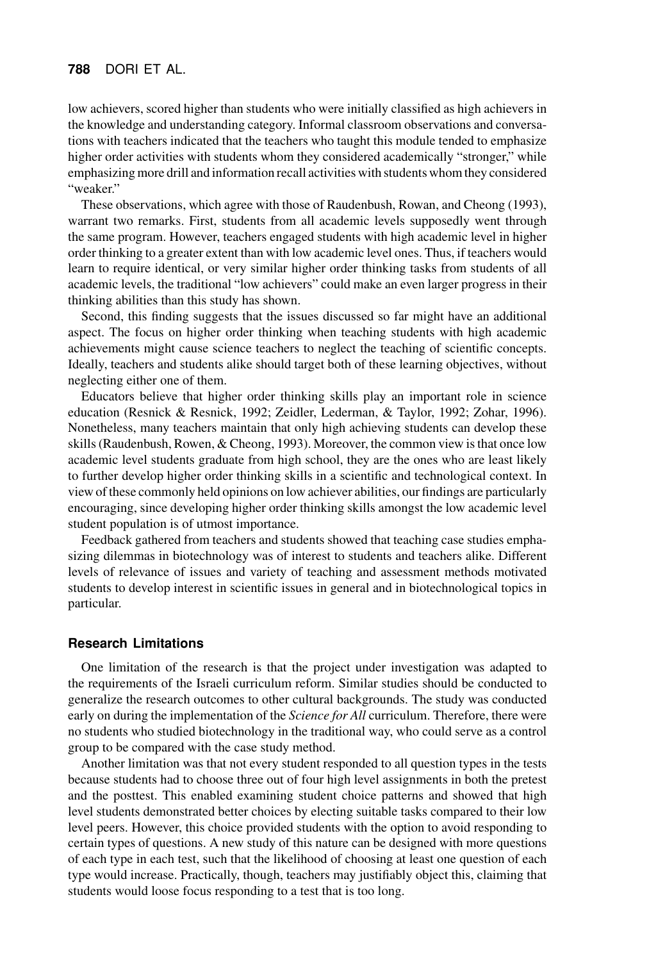low achievers, scored higher than students who were initially classified as high achievers in the knowledge and understanding category. Informal classroom observations and conversations with teachers indicated that the teachers who taught this module tended to emphasize higher order activities with students whom they considered academically "stronger," while emphasizing more drill and information recall activities with students whom they considered "weaker."

These observations, which agree with those of Raudenbush, Rowan, and Cheong (1993), warrant two remarks. First, students from all academic levels supposedly went through the same program. However, teachers engaged students with high academic level in higher order thinking to a greater extent than with low academic level ones. Thus, if teachers would learn to require identical, or very similar higher order thinking tasks from students of all academic levels, the traditional "low achievers" could make an even larger progress in their thinking abilities than this study has shown.

Second, this finding suggests that the issues discussed so far might have an additional aspect. The focus on higher order thinking when teaching students with high academic achievements might cause science teachers to neglect the teaching of scientific concepts. Ideally, teachers and students alike should target both of these learning objectives, without neglecting either one of them.

Educators believe that higher order thinking skills play an important role in science education (Resnick & Resnick, 1992; Zeidler, Lederman, & Taylor, 1992; Zohar, 1996). Nonetheless, many teachers maintain that only high achieving students can develop these skills (Raudenbush, Rowen, & Cheong, 1993). Moreover, the common view is that once low academic level students graduate from high school, they are the ones who are least likely to further develop higher order thinking skills in a scientific and technological context. In view of these commonly held opinions on low achiever abilities, our findings are particularly encouraging, since developing higher order thinking skills amongst the low academic level student population is of utmost importance.

Feedback gathered from teachers and students showed that teaching case studies emphasizing dilemmas in biotechnology was of interest to students and teachers alike. Different levels of relevance of issues and variety of teaching and assessment methods motivated students to develop interest in scientific issues in general and in biotechnological topics in particular.

#### **Research Limitations**

One limitation of the research is that the project under investigation was adapted to the requirements of the Israeli curriculum reform. Similar studies should be conducted to generalize the research outcomes to other cultural backgrounds. The study was conducted early on during the implementation of the *Science for All* curriculum. Therefore, there were no students who studied biotechnology in the traditional way, who could serve as a control group to be compared with the case study method.

Another limitation was that not every student responded to all question types in the tests because students had to choose three out of four high level assignments in both the pretest and the posttest. This enabled examining student choice patterns and showed that high level students demonstrated better choices by electing suitable tasks compared to their low level peers. However, this choice provided students with the option to avoid responding to certain types of questions. A new study of this nature can be designed with more questions of each type in each test, such that the likelihood of choosing at least one question of each type would increase. Practically, though, teachers may justifiably object this, claiming that students would loose focus responding to a test that is too long.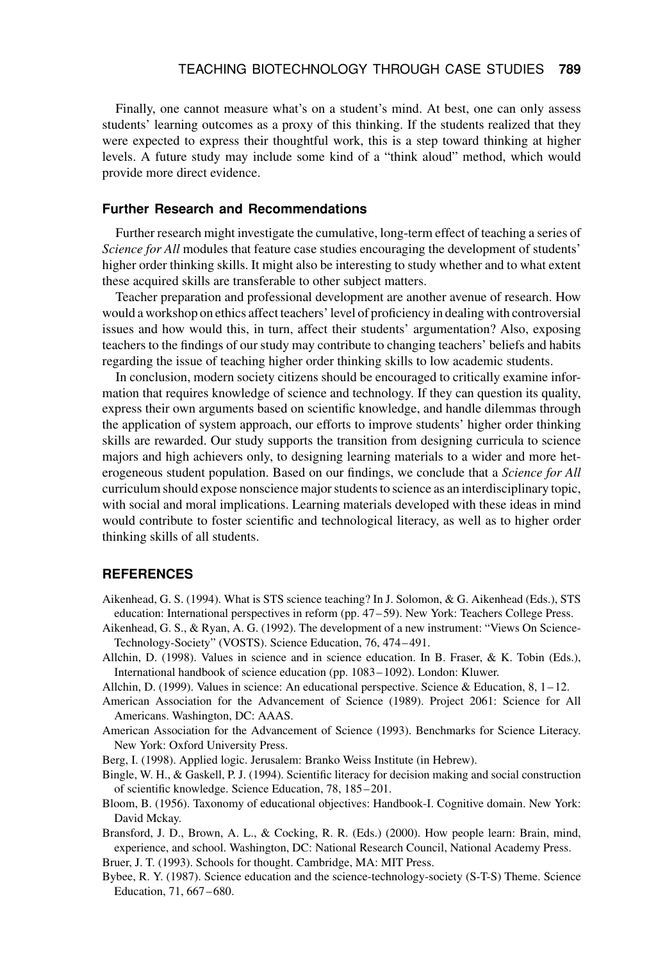Finally, one cannot measure what's on a student's mind. At best, one can only assess students' learning outcomes as a proxy of this thinking. If the students realized that they were expected to express their thoughtful work, this is a step toward thinking at higher levels. A future study may include some kind of a "think aloud" method, which would provide more direct evidence.

#### **Further Research and Recommendations**

Further research might investigate the cumulative, long-term effect of teaching a series of *Science for All* modules that feature case studies encouraging the development of students' higher order thinking skills. It might also be interesting to study whether and to what extent these acquired skills are transferable to other subject matters.

Teacher preparation and professional development are another avenue of research. How would a workshop on ethics affect teachers'level of proficiency in dealing with controversial issues and how would this, in turn, affect their students' argumentation? Also, exposing teachers to the findings of our study may contribute to changing teachers' beliefs and habits regarding the issue of teaching higher order thinking skills to low academic students.

In conclusion, modern society citizens should be encouraged to critically examine information that requires knowledge of science and technology. If they can question its quality, express their own arguments based on scientific knowledge, and handle dilemmas through the application of system approach, our efforts to improve students' higher order thinking skills are rewarded. Our study supports the transition from designing curricula to science majors and high achievers only, to designing learning materials to a wider and more heterogeneous student population. Based on our findings, we conclude that a *Science for All* curriculum should expose nonscience major students to science as an interdisciplinary topic, with social and moral implications. Learning materials developed with these ideas in mind would contribute to foster scientific and technological literacy, as well as to higher order thinking skills of all students.

#### **REFERENCES**

- Aikenhead, G. S. (1994). What is STS science teaching? In J. Solomon, & G. Aikenhead (Eds.), STS education: International perspectives in reform (pp. 47–59). New York: Teachers College Press.
- Aikenhead, G. S., & Ryan, A. G. (1992). The development of a new instrument: "Views On Science-Technology-Society" (VOSTS). Science Education, 76, 474–491.
- Allchin, D. (1998). Values in science and in science education. In B. Fraser, & K. Tobin (Eds.), International handbook of science education (pp. 1083–1092). London: Kluwer.
- Allchin, D. (1999). Values in science: An educational perspective. Science & Education, 8, 1–12.
- American Association for the Advancement of Science (1989). Project 2061: Science for All Americans. Washington, DC: AAAS.
- American Association for the Advancement of Science (1993). Benchmarks for Science Literacy. New York: Oxford University Press.
- Berg, I. (1998). Applied logic. Jerusalem: Branko Weiss Institute (in Hebrew).
- Bingle, W. H., & Gaskell, P. J. (1994). Scientific literacy for decision making and social construction of scientific knowledge. Science Education, 78, 185–201.
- Bloom, B. (1956). Taxonomy of educational objectives: Handbook-I. Cognitive domain. New York: David Mckay.
- Bransford, J. D., Brown, A. L., & Cocking, R. R. (Eds.) (2000). How people learn: Brain, mind, experience, and school. Washington, DC: National Research Council, National Academy Press. Bruer, J. T. (1993). Schools for thought. Cambridge, MA: MIT Press.
- Bybee, R. Y. (1987). Science education and the science-technology-society (S-T-S) Theme. Science Education, 71, 667–680.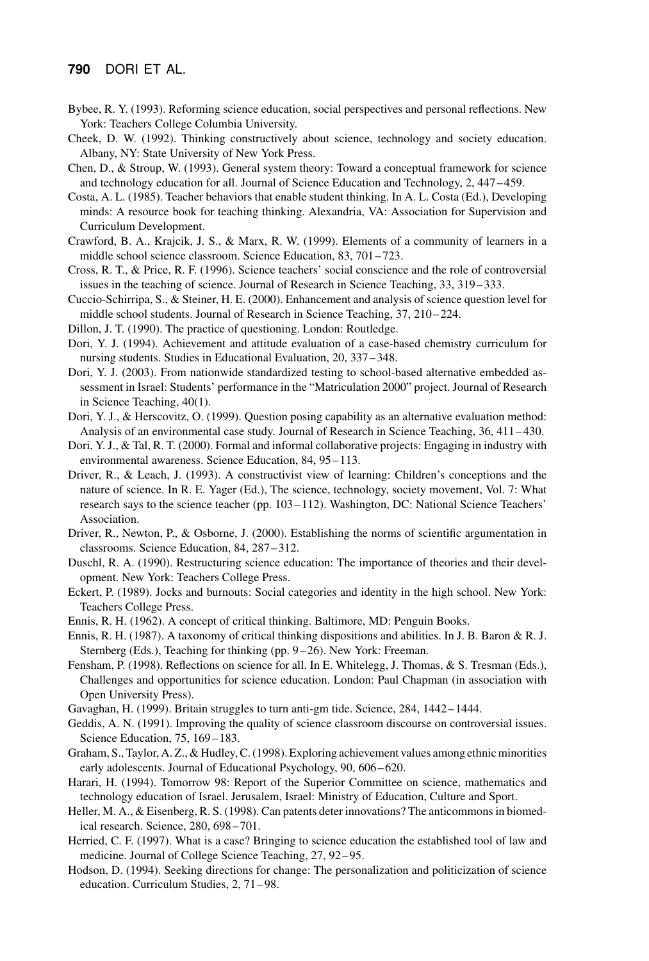- Bybee, R. Y. (1993). Reforming science education, social perspectives and personal reflections. New York: Teachers College Columbia University.
- Cheek, D. W. (1992). Thinking constructively about science, technology and society education. Albany, NY: State University of New York Press.
- Chen, D., & Stroup, W. (1993). General system theory: Toward a conceptual framework for science and technology education for all. Journal of Science Education and Technology, 2, 447–459.
- Costa, A. L. (1985). Teacher behaviors that enable student thinking. In A. L. Costa (Ed.), Developing minds: A resource book for teaching thinking. Alexandria, VA: Association for Supervision and Curriculum Development.
- Crawford, B. A., Krajcik, J. S., & Marx, R. W. (1999). Elements of a community of learners in a middle school science classroom. Science Education, 83, 701–723.
- Cross, R. T., & Price, R. F. (1996). Science teachers' social conscience and the role of controversial issues in the teaching of science. Journal of Research in Science Teaching, 33, 319–333.
- Cuccio-Schirripa, S., & Steiner, H. E. (2000). Enhancement and analysis of science question level for middle school students. Journal of Research in Science Teaching, 37, 210–224.
- Dillon, J. T. (1990). The practice of questioning. London: Routledge.
- Dori, Y. J. (1994). Achievement and attitude evaluation of a case-based chemistry curriculum for nursing students. Studies in Educational Evaluation, 20, 337–348.
- Dori, Y. J. (2003). From nationwide standardized testing to school-based alternative embedded assessment in Israel: Students' performance in the "Matriculation 2000" project. Journal of Research in Science Teaching, 40(1).
- Dori, Y. J., & Herscovitz, O. (1999). Question posing capability as an alternative evaluation method: Analysis of an environmental case study. Journal of Research in Science Teaching, 36, 411–430.
- Dori, Y. J., & Tal, R. T. (2000). Formal and informal collaborative projects: Engaging in industry with environmental awareness. Science Education, 84, 95–113.
- Driver, R., & Leach, J. (1993). A constructivist view of learning: Children's conceptions and the nature of science. In R. E. Yager (Ed.), The science, technology, society movement, Vol. 7: What research says to the science teacher (pp. 103–112). Washington, DC: National Science Teachers' Association.
- Driver, R., Newton, P., & Osborne, J. (2000). Establishing the norms of scientific argumentation in classrooms. Science Education, 84, 287–312.
- Duschl, R. A. (1990). Restructuring science education: The importance of theories and their development. New York: Teachers College Press.
- Eckert, P. (1989). Jocks and burnouts: Social categories and identity in the high school. New York: Teachers College Press.
- Ennis, R. H. (1962). A concept of critical thinking. Baltimore, MD: Penguin Books.
- Ennis, R. H. (1987). A taxonomy of critical thinking dispositions and abilities. In J. B. Baron & R. J. Sternberg (Eds.), Teaching for thinking (pp. 9–26). New York: Freeman.
- Fensham, P. (1998). Reflections on science for all. In E. Whitelegg, J. Thomas, & S. Tresman (Eds.), Challenges and opportunities for science education. London: Paul Chapman (in association with Open University Press).
- Gavaghan, H. (1999). Britain struggles to turn anti-gm tide. Science, 284, 1442–1444.
- Geddis, A. N. (1991). Improving the quality of science classroom discourse on controversial issues. Science Education, 75, 169–183.
- Graham, S., Taylor, A. Z., & Hudley, C. (1998). Exploring achievement values among ethnic minorities early adolescents. Journal of Educational Psychology, 90, 606–620.
- Harari, H. (1994). Tomorrow 98: Report of the Superior Committee on science, mathematics and technology education of Israel. Jerusalem, Israel: Ministry of Education, Culture and Sport.
- Heller, M. A., & Eisenberg, R. S. (1998). Can patents deter innovations? The anticommons in biomedical research. Science, 280, 698–701.
- Herried, C. F. (1997). What is a case? Bringing to science education the established tool of law and medicine. Journal of College Science Teaching, 27, 92–95.
- Hodson, D. (1994). Seeking directions for change: The personalization and politicization of science education. Curriculum Studies, 2, 71–98.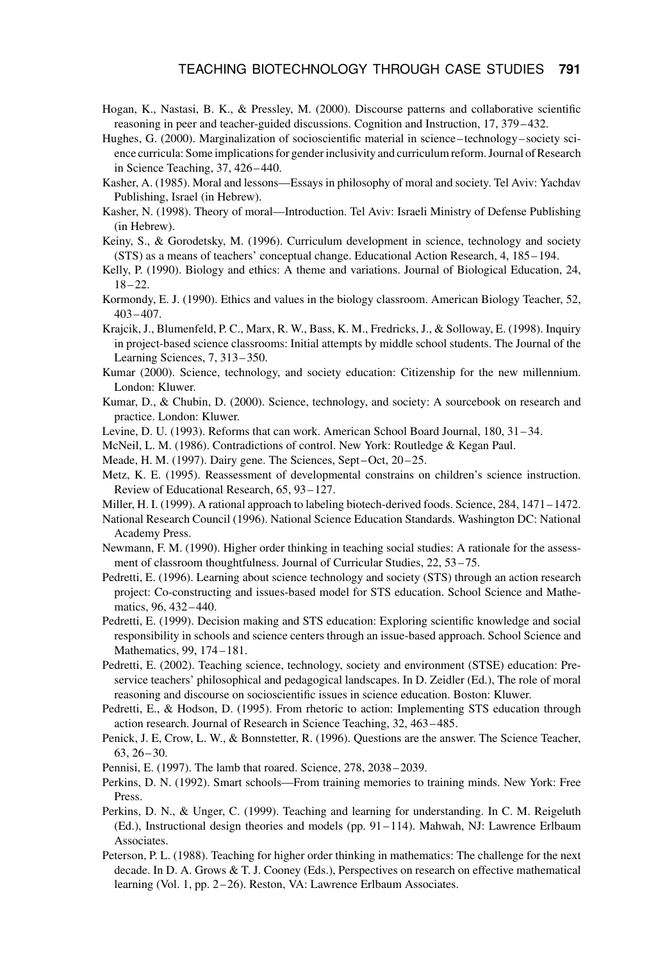- Hogan, K., Nastasi, B. K., & Pressley, M. (2000). Discourse patterns and collaborative scientific reasoning in peer and teacher-guided discussions. Cognition and Instruction, 17, 379–432.
- Hughes, G. (2000). Marginalization of socioscientific material in science–technology–society science curricula: Some implications for gender inclusivity and curriculum reform. Journal of Research in Science Teaching, 37, 426–440.
- Kasher, A. (1985). Moral and lessons—Essays in philosophy of moral and society. Tel Aviv: Yachdav Publishing, Israel (in Hebrew).
- Kasher, N. (1998). Theory of moral—Introduction. Tel Aviv: Israeli Ministry of Defense Publishing (in Hebrew).
- Keiny, S., & Gorodetsky, M. (1996). Curriculum development in science, technology and society (STS) as a means of teachers' conceptual change. Educational Action Research, 4, 185–194.
- Kelly, P. (1990). Biology and ethics: A theme and variations. Journal of Biological Education, 24, 18–22.
- Kormondy, E. J. (1990). Ethics and values in the biology classroom. American Biology Teacher, 52, 403–407.
- Krajcik, J., Blumenfeld, P. C., Marx, R. W., Bass, K. M., Fredricks, J., & Solloway, E. (1998). Inquiry in project-based science classrooms: Initial attempts by middle school students. The Journal of the Learning Sciences, 7, 313–350.
- Kumar (2000). Science, technology, and society education: Citizenship for the new millennium. London: Kluwer.
- Kumar, D., & Chubin, D. (2000). Science, technology, and society: A sourcebook on research and practice. London: Kluwer.
- Levine, D. U. (1993). Reforms that can work. American School Board Journal, 180, 31–34.
- McNeil, L. M. (1986). Contradictions of control. New York: Routledge & Kegan Paul.
- Meade, H. M. (1997). Dairy gene. The Sciences, Sept–Oct, 20–25.
- Metz, K. E. (1995). Reassessment of developmental constrains on children's science instruction. Review of Educational Research, 65, 93–127.
- Miller, H. I. (1999). A rational approach to labeling biotech-derived foods. Science, 284, 1471–1472.
- National Research Council (1996). National Science Education Standards. Washington DC: National Academy Press.
- Newmann, F. M. (1990). Higher order thinking in teaching social studies: A rationale for the assessment of classroom thoughtfulness. Journal of Curricular Studies, 22, 53–75.
- Pedretti, E. (1996). Learning about science technology and society (STS) through an action research project: Co-constructing and issues-based model for STS education. School Science and Mathematics, 96, 432–440.
- Pedretti, E. (1999). Decision making and STS education: Exploring scientific knowledge and social responsibility in schools and science centers through an issue-based approach. School Science and Mathematics, 99, 174–181.
- Pedretti, E. (2002). Teaching science, technology, society and environment (STSE) education: Preservice teachers' philosophical and pedagogical landscapes. In D. Zeidler (Ed.), The role of moral reasoning and discourse on socioscientific issues in science education. Boston: Kluwer.
- Pedretti, E., & Hodson, D. (1995). From rhetoric to action: Implementing STS education through action research. Journal of Research in Science Teaching, 32, 463–485.
- Penick, J. E, Crow, L. W., & Bonnstetter, R. (1996). Questions are the answer. The Science Teacher, 63, 26–30.
- Pennisi, E. (1997). The lamb that roared. Science, 278, 2038–2039.
- Perkins, D. N. (1992). Smart schools—From training memories to training minds. New York: Free Press.
- Perkins, D. N., & Unger, C. (1999). Teaching and learning for understanding. In C. M. Reigeluth (Ed.), Instructional design theories and models (pp. 91–114). Mahwah, NJ: Lawrence Erlbaum Associates.
- Peterson, P. L. (1988). Teaching for higher order thinking in mathematics: The challenge for the next decade. In D. A. Grows & T. J. Cooney (Eds.), Perspectives on research on effective mathematical learning (Vol. 1, pp. 2–26). Reston, VA: Lawrence Erlbaum Associates.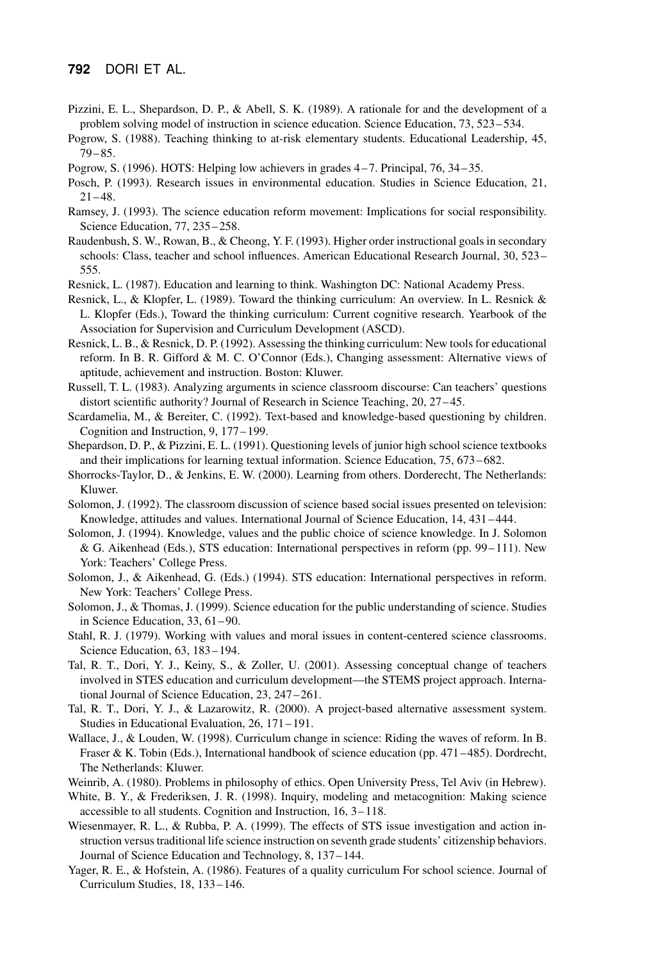- Pizzini, E. L., Shepardson, D. P., & Abell, S. K. (1989). A rationale for and the development of a problem solving model of instruction in science education. Science Education, 73, 523–534.
- Pogrow, S. (1988). Teaching thinking to at-risk elementary students. Educational Leadership, 45, 79–85.
- Pogrow, S. (1996). HOTS: Helping low achievers in grades 4–7. Principal, 76, 34–35.
- Posch, P. (1993). Research issues in environmental education. Studies in Science Education, 21,  $21 - 48.$
- Ramsey, J. (1993). The science education reform movement: Implications for social responsibility. Science Education, 77, 235–258.
- Raudenbush, S. W., Rowan, B., & Cheong, Y. F. (1993). Higher order instructional goals in secondary schools: Class, teacher and school influences. American Educational Research Journal, 30, 523– 555.
- Resnick, L. (1987). Education and learning to think. Washington DC: National Academy Press.
- Resnick, L., & Klopfer, L. (1989). Toward the thinking curriculum: An overview. In L. Resnick & L. Klopfer (Eds.), Toward the thinking curriculum: Current cognitive research. Yearbook of the Association for Supervision and Curriculum Development (ASCD).
- Resnick, L. B., & Resnick, D. P. (1992). Assessing the thinking curriculum: New tools for educational reform. In B. R. Gifford & M. C. O'Connor (Eds.), Changing assessment: Alternative views of aptitude, achievement and instruction. Boston: Kluwer.
- Russell, T. L. (1983). Analyzing arguments in science classroom discourse: Can teachers' questions distort scientific authority? Journal of Research in Science Teaching, 20, 27–45.
- Scardamelia, M., & Bereiter, C. (1992). Text-based and knowledge-based questioning by children. Cognition and Instruction, 9, 177–199.
- Shepardson, D. P., & Pizzini, E. L. (1991). Questioning levels of junior high school science textbooks and their implications for learning textual information. Science Education, 75, 673–682.
- Shorrocks-Taylor, D., & Jenkins, E. W. (2000). Learning from others. Dorderecht, The Netherlands: Kluwer.
- Solomon, J. (1992). The classroom discussion of science based social issues presented on television: Knowledge, attitudes and values. International Journal of Science Education, 14, 431–444.
- Solomon, J. (1994). Knowledge, values and the public choice of science knowledge. In J. Solomon & G. Aikenhead (Eds.), STS education: International perspectives in reform (pp. 99–111). New York: Teachers' College Press.
- Solomon, J., & Aikenhead, G. (Eds.) (1994). STS education: International perspectives in reform. New York: Teachers' College Press.
- Solomon, J., & Thomas, J. (1999). Science education for the public understanding of science. Studies in Science Education, 33, 61–90.
- Stahl, R. J. (1979). Working with values and moral issues in content-centered science classrooms. Science Education, 63, 183–194.
- Tal, R. T., Dori, Y. J., Keiny, S., & Zoller, U. (2001). Assessing conceptual change of teachers involved in STES education and curriculum development—the STEMS project approach. International Journal of Science Education, 23, 247–261.
- Tal, R. T., Dori, Y. J., & Lazarowitz, R. (2000). A project-based alternative assessment system. Studies in Educational Evaluation, 26, 171–191.
- Wallace, J., & Louden, W. (1998). Curriculum change in science: Riding the waves of reform. In B. Fraser & K. Tobin (Eds.), International handbook of science education (pp. 471–485). Dordrecht, The Netherlands: Kluwer.
- Weinrib, A. (1980). Problems in philosophy of ethics. Open University Press, Tel Aviv (in Hebrew).
- White, B. Y., & Frederiksen, J. R. (1998). Inquiry, modeling and metacognition: Making science accessible to all students. Cognition and Instruction, 16, 3–118.
- Wiesenmayer, R. L., & Rubba, P. A. (1999). The effects of STS issue investigation and action instruction versus traditional life science instruction on seventh grade students' citizenship behaviors. Journal of Science Education and Technology, 8, 137–144.
- Yager, R. E., & Hofstein, A. (1986). Features of a quality curriculum For school science. Journal of Curriculum Studies, 18, 133–146.